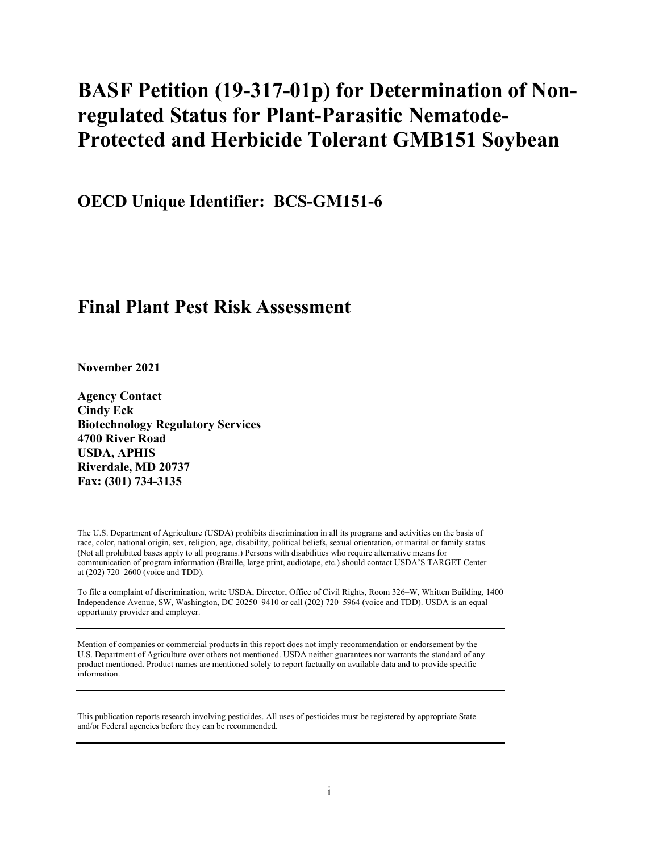# **BASF Petition (19-317-01p) for Determination of Nonregulated Status for Plant-Parasitic Nematode-Protected and Herbicide Tolerant GMB151 Soybean**

**OECD Unique Identifier: BCS-GM151-6**

# **Final Plant Pest Risk Assessment**

**November 2021**

**Agency Contact Cindy Eck Biotechnology Regulatory Services 4700 River Road USDA, APHIS Riverdale, MD 20737 Fax: (301) 734-3135**

The U.S. Department of Agriculture (USDA) prohibits discrimination in all its programs and activities on the basis of race, color, national origin, sex, religion, age, disability, political beliefs, sexual orientation, or marital or family status. (Not all prohibited bases apply to all programs.) Persons with disabilities who require alternative means for communication of program information (Braille, large print, audiotape, etc.) should contact USDA'S TARGET Center at (202) 720–2600 (voice and TDD).

To file a complaint of discrimination, write USDA, Director, Office of Civil Rights, Room 326–W, Whitten Building, 1400 Independence Avenue, SW, Washington, DC 20250–9410 or call (202) 720–5964 (voice and TDD). USDA is an equal opportunity provider and employer.

Mention of companies or commercial products in this report does not imply recommendation or endorsement by the U.S. Department of Agriculture over others not mentioned. USDA neither guarantees nor warrants the standard of any product mentioned. Product names are mentioned solely to report factually on available data and to provide specific information.

This publication reports research involving pesticides. All uses of pesticides must be registered by appropriate State and/or Federal agencies before they can be recommended.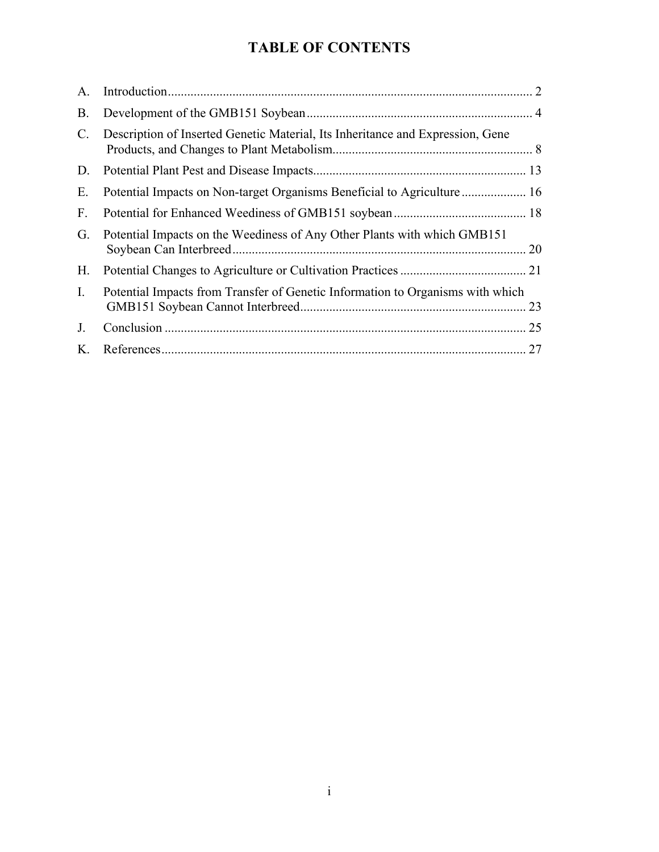# **TABLE OF CONTENTS**

| A.             |                                                                                |  |
|----------------|--------------------------------------------------------------------------------|--|
| <b>B.</b>      |                                                                                |  |
| C.             | Description of Inserted Genetic Material, Its Inheritance and Expression, Gene |  |
| D.             |                                                                                |  |
| Ε.             | Potential Impacts on Non-target Organisms Beneficial to Agriculture 16         |  |
| F.             |                                                                                |  |
| G.             | Potential Impacts on the Weediness of Any Other Plants with which GMB151       |  |
| Н.             |                                                                                |  |
| $\mathbf{I}$ . | Potential Impacts from Transfer of Genetic Information to Organisms with which |  |
| J <sub>r</sub> |                                                                                |  |
| K.             |                                                                                |  |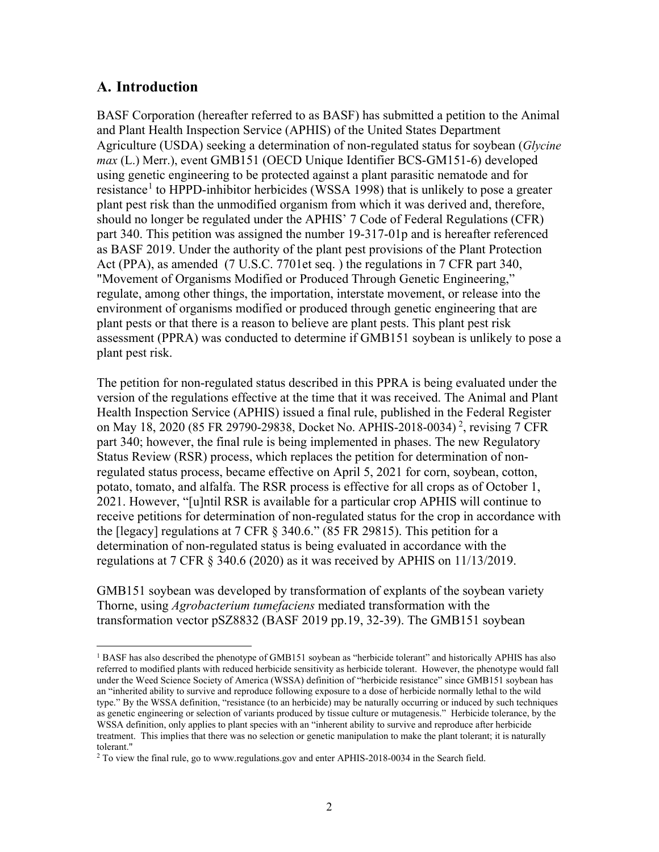## <span id="page-2-0"></span>**A. Introduction**

BASF Corporation (hereafter referred to as BASF) has submitted a petition to the Animal and Plant Health Inspection Service (APHIS) of the United States Department Agriculture (USDA) seeking a determination of non-regulated status for soybean (*Glycine max* (L.) Merr.), event GMB151 (OECD Unique Identifier BCS-GM151-6) developed using genetic engineering to be protected against a plant parasitic nematode and for resistance<sup>[1](#page-2-1)</sup> to HPPD-inhibitor herbicides [\(WSSA 1998\)](#page-33-0) that is unlikely to pose a greater plant pest risk than the unmodified organism from which it was derived and, therefore, should no longer be regulated under the APHIS' 7 Code of Federal Regulations (CFR) part 340. This petition was assigned the number 19-317-01p and is hereafter referenced as BASF 2019. Under the authority of the plant pest provisions of the Plant Protection Act (PPA), as amended (7 U.S.C. [7701et seq.](#page-27-1) ) the regulations in 7 CFR part 340, "Movement of Organisms Modified or Produced Through Genetic Engineering," regulate, among other things, the importation, interstate movement, or release into the environment of organisms modified or produced through genetic engineering that are plant pests or that there is a reason to believe are plant pests. This plant pest risk assessment (PPRA) was conducted to determine if GMB151 soybean is unlikely to pose a plant pest risk.

The petition for non-regulated status described in this PPRA is being evaluated under the version of the regulations effective at the time that it was received. The Animal and Plant Health Inspection Service (APHIS) issued a final rule, published in the Federal Register on May 18, [2](#page-2-2)020 (85 FR 29790-29838, Docket No. APHIS-2018-0034)<sup>2</sup>, revising 7 CFR part 340; however, the final rule is being implemented in phases. The new Regulatory Status Review (RSR) process, which replaces the petition for determination of nonregulated status process, became effective on April 5, 2021 for corn, soybean, cotton, potato, tomato, and alfalfa. The RSR process is effective for all crops as of October 1, 2021. However, "[u]ntil RSR is available for a particular crop APHIS will continue to receive petitions for determination of non-regulated status for the crop in accordance with the [legacy] regulations at 7 CFR § 340.6." (85 FR 29815). This petition for a determination of non-regulated status is being evaluated in accordance with the regulations at 7 CFR § 340.6 (2020) as it was received by APHIS on 11/13/2019.

GMB151 soybean was developed by transformation of explants of the soybean variety Thorne, using *Agrobacterium tumefaciens* mediated transformation with the transformation vector pSZ8832 [\(BASF 2019 pp.19, 32-39\)](#page-27-2). The GMB151 soybean

<span id="page-2-1"></span><sup>&</sup>lt;sup>1</sup> BASF has also described the phenotype of GMB151 soybean as "herbicide tolerant" and historically APHIS has also referred to modified plants with reduced herbicide sensitivity as herbicide tolerant. However, the phenotype would fall under the Weed Science Society of America (WSSA) definition of "herbicide resistance" since GMB151 soybean has an "inherited ability to survive and reproduce following exposure to a dose of herbicide normally lethal to the wild type." By the WSSA definition, "resistance (to an herbicide) may be naturally occurring or induced by such techniques as genetic engineering or selection of variants produced by tissue culture or mutagenesis." Herbicide tolerance, by the WSSA definition, only applies to plant species with an "inherent ability to survive and reproduce after herbicide treatment. This implies that there was no selection or genetic manipulation to make the plant tolerant; it is naturally tolerant."

<span id="page-2-2"></span><sup>&</sup>lt;sup>2</sup> To view the final rule, go to www.regulations.gov and enter APHIS-2018-0034 in the Search field.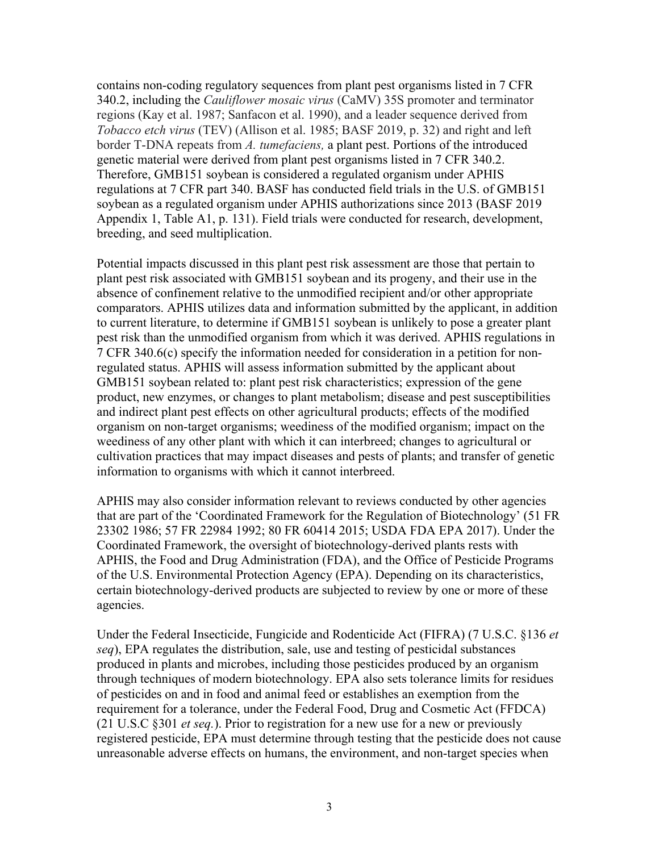contains non-coding regulatory sequences from plant pest organisms listed in 7 CFR 340.2, including the *Cauliflower mosaic virus* (CaMV) 35S promoter and terminator regions [\(Kay et al. 1987;](#page-30-0) [Sanfacon et al. 1990\)](#page-31-0), and a leader sequence derived from *Tobacco etch virus* (TEV) [\(Allison et al. 1985;](#page-27-3) [BASF 2019,](#page-27-2) p. 32) and right and left border T-DNA repeats from *A. tumefaciens,* a plant pest. Portions of the introduced genetic material were derived from plant pest organisms listed in 7 CFR 340.2. Therefore, GMB151 soybean is considered a regulated organism under APHIS regulations at 7 CFR part 340. BASF has conducted field trials in the U.S. of GMB151 soybean as a regulated organism under APHIS authorizations since 2013 [\(BASF 2019](#page-27-2)  [Appendix 1, Table A1, p. 131\)](#page-27-2). Field trials were conducted for research, development, breeding, and seed multiplication.

Potential impacts discussed in this plant pest risk assessment are those that pertain to plant pest risk associated with GMB151 soybean and its progeny, and their use in the absence of confinement relative to the unmodified recipient and/or other appropriate comparators. APHIS utilizes data and information submitted by the applicant, in addition to current literature, to determine if GMB151 soybean is unlikely to pose a greater plant pest risk than the unmodified organism from which it was derived. APHIS regulations in 7 CFR 340.6(c) specify the information needed for consideration in a petition for nonregulated status. APHIS will assess information submitted by the applicant about GMB151 soybean related to: plant pest risk characteristics; expression of the gene product, new enzymes, or changes to plant metabolism; disease and pest susceptibilities and indirect plant pest effects on other agricultural products; effects of the modified organism on non-target organisms; weediness of the modified organism; impact on the weediness of any other plant with which it can interbreed; changes to agricultural or cultivation practices that may impact diseases and pests of plants; and transfer of genetic information to organisms with which it cannot interbreed.

APHIS may also consider information relevant to reviews conducted by other agencies that are part of the 'Coordinated Framework for the Regulation of Biotechnology' [\(51 FR](#page-27-4)  [23302 1986;](#page-27-4) [57 FR 22984](#page-27-5) 1992; [80 FR 60414 2015;](#page-27-6) [USDA FDA EPA 2017\)](#page-32-0). Under the Coordinated Framework, the oversight of biotechnology-derived plants rests with APHIS, the Food and Drug Administration (FDA), and the Office of Pesticide Programs of the U.S. Environmental Protection Agency (EPA). Depending on its characteristics, certain biotechnology-derived products are subjected to review by one or more of these agencies.

Under the Federal Insecticide, Fungicide and Rodenticide Act (FIFRA) (7 U.S.C. §136 *et seq*), EPA regulates the distribution, sale, use and testing of pesticidal substances produced in plants and microbes, including those pesticides produced by an organism through techniques of modern biotechnology. EPA also sets tolerance limits for residues of pesticides on and in food and animal feed or establishes an exemption from the requirement for a tolerance, under the Federal Food, Drug and Cosmetic Act (FFDCA) (21 U.S.C §301 *et seq.*). Prior to registration for a new use for a new or previously registered pesticide, EPA must determine through testing that the pesticide does not cause unreasonable adverse effects on humans, the environment, and non-target species when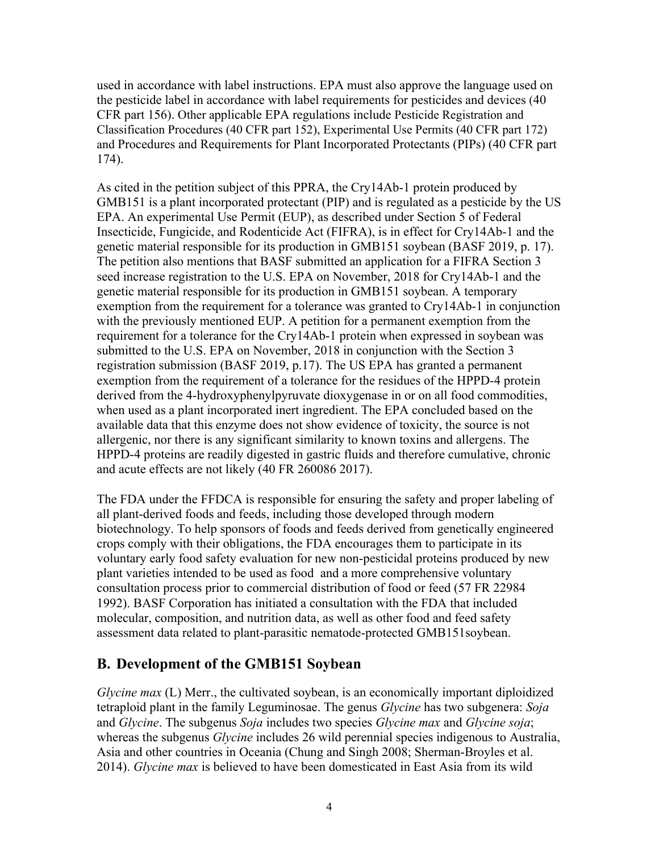used in accordance with label instructions. EPA must also approve the language used on the pesticide label in accordance with label requirements for pesticides and devices (40 CFR part 156). Other applicable EPA regulations include Pesticide Registration and Classification Procedures (40 CFR part 152), Experimental Use Permits (40 CFR part 172) and Procedures and Requirements for Plant Incorporated Protectants (PIPs) (40 CFR part 174).

As cited in the petition subject of this PPRA, the Cry14Ab-1 protein produced by GMB151 is a plant incorporated protectant (PIP) and is regulated as a pesticide by the US EPA. An experimental Use Permit (EUP), as described under Section 5 of Federal Insecticide, Fungicide, and Rodenticide Act (FIFRA), is in effect for Cry14Ab-1 and the genetic material responsible for its production in GMB151 soybean [\(BASF 2019, p. 17\)](#page-27-2). The petition also mentions that BASF submitted an application for a FIFRA Section 3 seed increase registration to the U.S. EPA on November, 2018 for Cry14Ab-1 and the genetic material responsible for its production in GMB151 soybean. A temporary exemption from the requirement for a tolerance was granted to Cry14Ab-1 in conjunction with the previously mentioned EUP. A petition for a permanent exemption from the requirement for a tolerance for the Cry14Ab-1 protein when expressed in soybean was submitted to the U.S. EPA on November, 2018 in conjunction with the Section 3 registration submission [\(BASF 2019, p.17\)](#page-27-2). The US EPA has granted a permanent exemption from the requirement of a tolerance for the residues of the HPPD-4 protein derived from the 4-hydroxyphenylpyruvate dioxygenase in or on all food commodities, when used as a plant incorporated inert ingredient. The EPA concluded based on the available data that this enzyme does not show evidence of toxicity, the source is not allergenic, nor there is any significant similarity to known toxins and allergens. The HPPD-4 proteins are readily digested in gastric fluids and therefore cumulative, chronic and acute effects are not likely [\(40 FR 260086 2017\)](#page-27-7).

The FDA under the FFDCA is responsible for ensuring the safety and proper labeling of all plant-derived foods and feeds, including those developed through modern biotechnology. To help sponsors of foods and feeds derived from genetically engineered crops comply with their obligations, the FDA encourages them to participate in its voluntary early food safety evaluation for new non-pesticidal proteins produced by new plant varieties intended to be used as food and a more comprehensive voluntary consultation process prior to commercial distribution of food or feed [\(57 FR 22984](#page-27-5)  [1992\)](#page-27-5). BASF Corporation has initiated a consultation with the FDA that included molecular, composition, and nutrition data, as well as other food and feed safety assessment data related to plant-parasitic nematode-protected GMB151soybean.

# <span id="page-4-0"></span>**B. Development of the GMB151 Soybean**

*Glycine max* (L) Merr., the cultivated soybean, is an economically important diploidized tetraploid plant in the family Leguminosae. The genus *Glycine* has two subgenera: *Soja* and *Glycine*. The subgenus *Soja* includes two species *Glycine max* and *Glycine soja*; whereas the subgenus *Glycine* includes 26 wild perennial species indigenous to Australia, Asia and other countries in Oceania [\(Chung and Singh 2008;](#page-28-0) [Sherman-Broyles et al.](#page-31-1)  [2014\)](#page-31-1). *Glycine max* is believed to have been domesticated in East Asia from its wild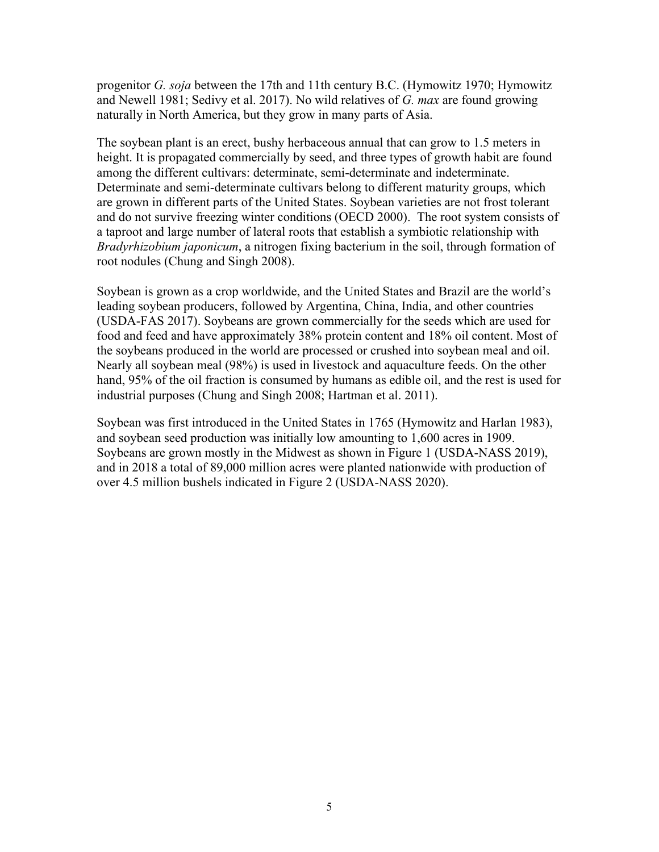progenitor *G. soja* between the 17th and 11th century B.C. [\(Hymowitz 1970;](#page-29-0) [Hymowitz](#page-29-1)  [and Newell 1981;](#page-29-1) [Sedivy et al. 2017\)](#page-31-2). No wild relatives of *G. max* are found growing naturally in North America, but they grow in many parts of Asia.

The soybean plant is an erect, bushy herbaceous annual that can grow to 1.5 meters in height. It is propagated commercially by seed, and three types of growth habit are found among the different cultivars: determinate, semi-determinate and indeterminate. Determinate and semi-determinate cultivars belong to different maturity groups, which are grown in different parts of the United States. Soybean varieties are not frost tolerant and do not survive freezing winter conditions [\(OECD 2000\)](#page-30-1). The root system consists of a taproot and large number of lateral roots that establish a symbiotic relationship with *Bradyrhizobium japonicum*, a nitrogen fixing bacterium in the soil, through formation of root nodules [\(Chung and Singh 2008\)](#page-28-0).

Soybean is grown as a crop worldwide, and the United States and Brazil are the world's leading soybean producers, followed by Argentina, China, India, and other countries [\(USDA-FAS 2017\)](#page-32-1). Soybeans are grown commercially for the seeds which are used for food and feed and have approximately 38% protein content and 18% oil content. Most of the soybeans produced in the world are processed or crushed into soybean meal and oil. Nearly all soybean meal (98%) is used in livestock and aquaculture feeds. On the other hand, 95% of the oil fraction is consumed by humans as edible oil, and the rest is used for industrial purposes [\(Chung and Singh 2008;](#page-28-0) [Hartman et al. 2011\)](#page-29-2).

Soybean was first introduced in the United States in 1765 [\(Hymowitz and Harlan 1983\)](#page-29-3), and soybean seed production was initially low amounting to 1,600 acres in 1909. Soybeans are grown mostly in the Midwest as shown in Figure 1 [\(USDA-NASS 2019\)](#page-32-2), and in 2018 a total of 89,000 million acres were planted nationwide with production of over 4.5 million bushels indicated in Figure 2 [\(USDA-NASS 2020\)](#page-32-3).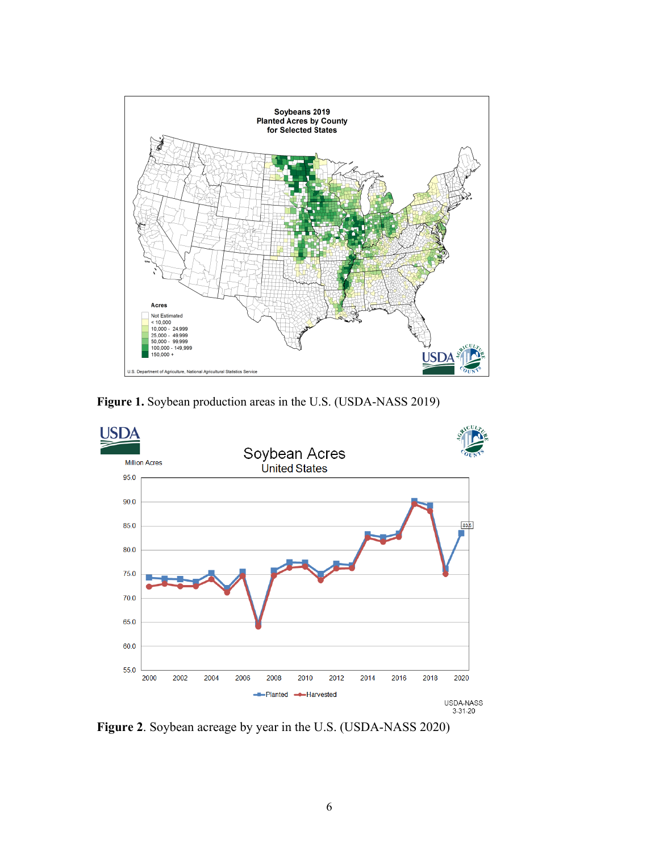

**Figure 1.** Soybean production areas in the U.S. [\(USDA-NASS 2019\)](#page-32-2)



**Figure 2**. Soybean acreage by year in the U.S. [\(USDA-NASS 2020\)](#page-32-3)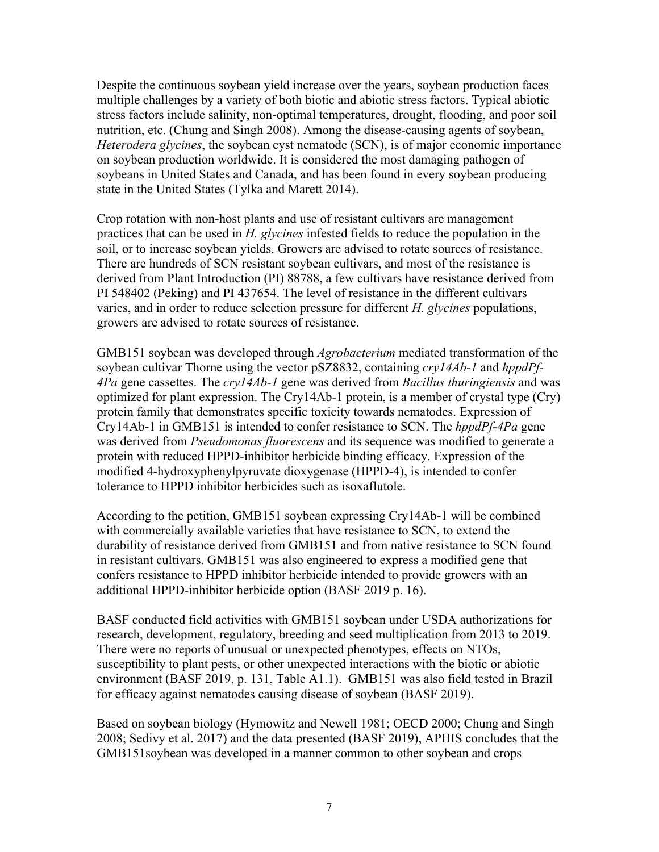Despite the continuous soybean yield increase over the years, soybean production faces multiple challenges by a variety of both biotic and abiotic stress factors. Typical abiotic stress factors include salinity, non-optimal temperatures, drought, flooding, and poor soil nutrition, etc. [\(Chung and Singh 2008\)](#page-28-0). Among the disease-causing agents of soybean, *Heterodera glycines*, the soybean cyst nematode (SCN), is of major economic importance on soybean production worldwide. It is considered the most damaging pathogen of soybeans in United States and Canada, and has been found in every soybean producing state in the United States [\(Tylka and Marett 2014\)](#page-32-4).

Crop rotation with non-host plants and use of resistant cultivars are management practices that can be used in *H. glycines* infested fields to reduce the population in the soil, or to increase soybean yields. Growers are advised to rotate sources of resistance. There are hundreds of SCN resistant soybean cultivars, and most of the resistance is derived from Plant Introduction (PI) 88788, a few cultivars have resistance derived from PI 548402 (Peking) and PI 437654. The level of resistance in the different cultivars varies, and in order to reduce selection pressure for different *H. glycines* populations, growers are advised to rotate sources of resistance.

GMB151 soybean was developed through *Agrobacterium* mediated transformation of the soybean cultivar Thorne using the vector pSZ8832, containing *cry14Ab-1* and *hppdPf-4Pa* gene cassettes. The *cry14Ab-1* gene was derived from *Bacillus thuringiensis* and was optimized for plant expression. The Cry14Ab-1 protein, is a member of crystal type (Cry) protein family that demonstrates specific toxicity towards nematodes. Expression of Cry14Ab-1 in GMB151 is intended to confer resistance to SCN. The *hppdPf-4Pa* gene was derived from *Pseudomonas fluorescens* and its sequence was modified to generate a protein with reduced HPPD-inhibitor herbicide binding efficacy. Expression of the modified 4-hydroxyphenylpyruvate dioxygenase (HPPD-4), is intended to confer tolerance to HPPD inhibitor herbicides such as isoxaflutole.

According to the petition, GMB151 soybean expressing Cry14Ab-1 will be combined with commercially available varieties that have resistance to SCN, to extend the durability of resistance derived from GMB151 and from native resistance to SCN found in resistant cultivars. GMB151 was also engineered to express a modified gene that confers resistance to HPPD inhibitor herbicide intended to provide growers with an additional HPPD-inhibitor herbicide option [\(BASF 2019 p. 16\)](#page-27-2).

BASF conducted field activities with GMB151 soybean under USDA authorizations for research, development, regulatory, breeding and seed multiplication from 2013 to 2019. There were no reports of unusual or unexpected phenotypes, effects on NTOs, susceptibility to plant pests, or other unexpected interactions with the biotic or abiotic environment [\(BASF 2019, p. 131, Table A1.1\)](#page-27-2). GMB151 was also field tested in Brazil for efficacy against nematodes causing disease of soybean [\(BASF 2019\)](#page-27-2).

Based on soybean biology [\(Hymowitz and Newell 1981;](#page-29-1) [OECD 2000;](#page-30-1) [Chung and Singh](#page-28-0)  [2008;](#page-28-0) [Sedivy et al. 2017\)](#page-31-2) and the data presented [\(BASF 2019\)](#page-27-2), APHIS concludes that the GMB151soybean was developed in a manner common to other soybean and crops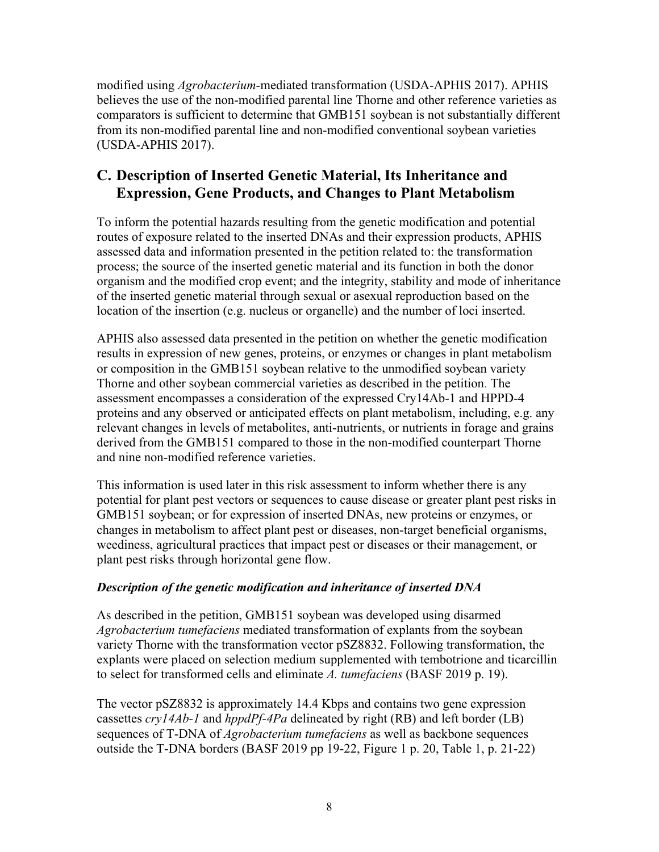modified using *Agrobacterium*-mediated transformation [\(USDA-APHIS 2017\)](#page-32-5). APHIS believes the use of the non-modified parental line Thorne and other reference varieties as comparators is sufficient to determine that GMB151 soybean is not substantially different from its non-modified parental line and non-modified conventional soybean varieties [\(USDA-APHIS 2017\)](#page-32-5).

# <span id="page-8-0"></span>**C. Description of Inserted Genetic Material, Its Inheritance and Expression, Gene Products, and Changes to Plant Metabolism**

To inform the potential hazards resulting from the genetic modification and potential routes of exposure related to the inserted DNAs and their expression products, APHIS assessed data and information presented in the petition related to: the transformation process; the source of the inserted genetic material and its function in both the donor organism and the modified crop event; and the integrity, stability and mode of inheritance of the inserted genetic material through sexual or asexual reproduction based on the location of the insertion (e.g. nucleus or organelle) and the number of loci inserted.

APHIS also assessed data presented in the petition on whether the genetic modification results in expression of new genes, proteins, or enzymes or changes in plant metabolism or composition in the GMB151 soybean relative to the unmodified soybean variety Thorne and other soybean commercial varieties as described in the petition. The assessment encompasses a consideration of the expressed Cry14Ab-1 and HPPD-4 proteins and any observed or anticipated effects on plant metabolism, including, e.g. any relevant changes in levels of metabolites, anti-nutrients, or nutrients in forage and grains derived from the GMB151 compared to those in the non-modified counterpart Thorne and nine non-modified reference varieties.

This information is used later in this risk assessment to inform whether there is any potential for plant pest vectors or sequences to cause disease or greater plant pest risks in GMB151 soybean; or for expression of inserted DNAs, new proteins or enzymes, or changes in metabolism to affect plant pest or diseases, non-target beneficial organisms, weediness, agricultural practices that impact pest or diseases or their management, or plant pest risks through horizontal gene flow.

#### *Description of the genetic modification and inheritance of inserted DNA*

As described in the petition, GMB151 soybean was developed using disarmed *Agrobacterium tumefaciens* mediated transformation of explants from the soybean variety Thorne with the transformation vector pSZ8832. Following transformation, the explants were placed on selection medium supplemented with tembotrione and ticarcillin to select for transformed cells and eliminate *A. tumefaciens* [\(BASF 2019 p. 19\)](#page-27-2).

The vector pSZ8832 is approximately 14.4 Kbps and contains two gene expression cassettes *cry14Ab-1* and *hppdPf-4Pa* delineated by right (RB) and left border (LB) sequences of T-DNA of *Agrobacterium tumefaciens* as well as backbone sequences outside the T-DNA borders [\(BASF 2019 pp 19-22, Figure 1 p. 20, Table 1, p. 21-22\)](#page-27-2)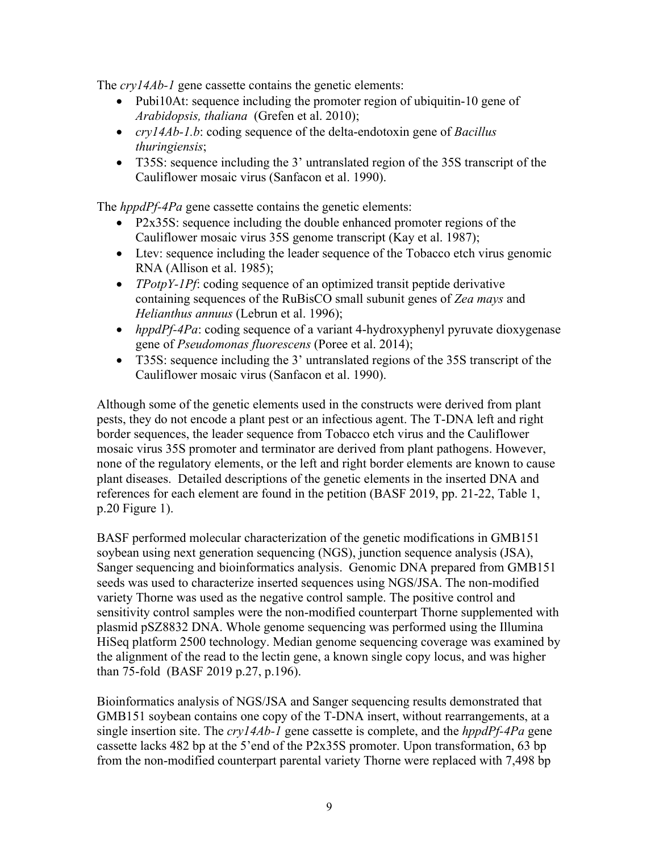The *cry14Ab-1* gene cassette contains the genetic elements:

- Pubi10At: sequence including the promoter region of ubiquitin-10 gene of *Arabidopsis, thaliana* [\(Grefen et al. 2010\)](#page-29-4);
- *cry14Ab-1.b*: coding sequence of the delta-endotoxin gene of *Bacillus thuringiensis*;
- T35S: sequence including the 3' untranslated region of the 35S transcript of the Cauliflower mosaic virus [\(Sanfacon et al. 1990\)](#page-31-0).

The *hppdPf-4Pa* gene cassette contains the genetic elements:

- P2x35S: sequence including the double enhanced promoter regions of the Cauliflower mosaic virus 35S genome transcript [\(Kay et al. 1987\)](#page-30-0);
- Ltev: sequence including the leader sequence of the Tobacco etch virus genomic RNA [\(Allison et al. 1985\)](#page-27-3);
- *TPotpY-1Pf*: coding sequence of an optimized transit peptide derivative containing sequences of the RuBisCO small subunit genes of *Zea mays* and *Helianthus annuus* [\(Lebrun et al. 1996\)](#page-30-2);
- *hppdPf-4Pa*: coding sequence of a variant 4-hydroxyphenyl pyruvate dioxygenase gene of *Pseudomonas fluorescens* [\(Poree et al. 2014\)](#page-30-3);
- T35S: sequence including the 3' untranslated regions of the 35S transcript of the Cauliflower mosaic virus [\(Sanfacon et al. 1990\)](#page-31-0).

Although some of the genetic elements used in the constructs were derived from plant pests, they do not encode a plant pest or an infectious agent. The T-DNA left and right border sequences, the leader sequence from Tobacco etch virus and the Cauliflower mosaic virus 35S promoter and terminator are derived from plant pathogens. However, none of the regulatory elements, or the left and right border elements are known to cause plant diseases. Detailed descriptions of the genetic elements in the inserted DNA and references for each element are found in the petition [\(BASF 2019, pp. 21-22, Table 1,](#page-27-2)  [p.20 Figure 1\)](#page-27-2).

BASF performed molecular characterization of the genetic modifications in GMB151 soybean using next generation sequencing (NGS), junction sequence analysis (JSA), Sanger sequencing and bioinformatics analysis. Genomic DNA prepared from GMB151 seeds was used to characterize inserted sequences using NGS/JSA. The non-modified variety Thorne was used as the negative control sample. The positive control and sensitivity control samples were the non-modified counterpart Thorne supplemented with plasmid pSZ8832 DNA. Whole genome sequencing was performed using the Illumina HiSeq platform 2500 technology. Median genome sequencing coverage was examined by the alignment of the read to the lectin gene, a known single copy locus, and was higher than 75-fold [\(BASF 2019 p.27, p.196\)](#page-27-2).

Bioinformatics analysis of NGS/JSA and Sanger sequencing results demonstrated that GMB151 soybean contains one copy of the T-DNA insert, without rearrangements, at a single insertion site. The *cry14Ab-1* gene cassette is complete, and the *hppdPf-4Pa* gene cassette lacks 482 bp at the 5'end of the P2x35S promoter. Upon transformation, 63 bp from the non-modified counterpart parental variety Thorne were replaced with 7,498 bp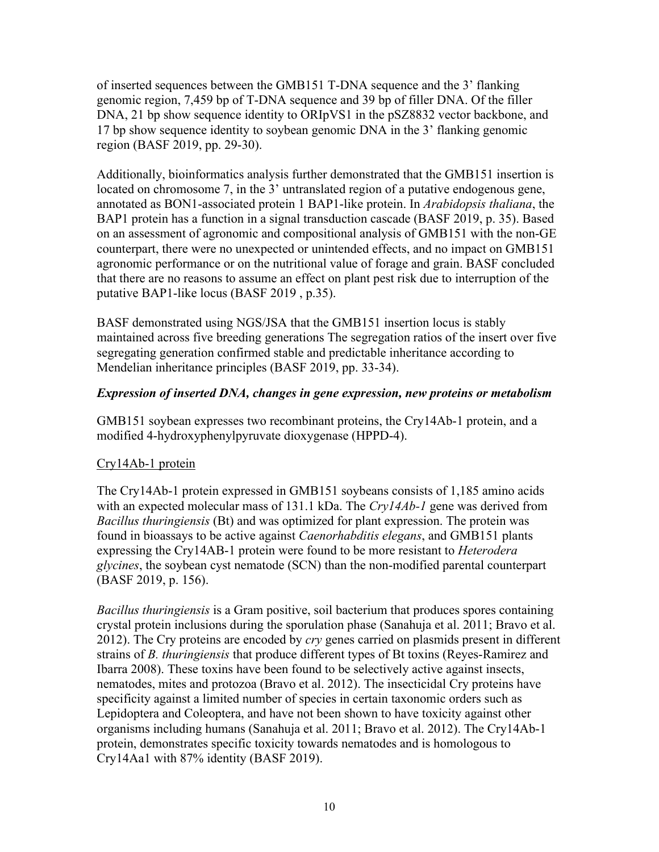of inserted sequences between the GMB151 T-DNA sequence and the 3' flanking genomic region, 7,459 bp of T-DNA sequence and 39 bp of filler DNA. Of the filler DNA, 21 bp show sequence identity to ORIpVS1 in the pSZ8832 vector backbone, and 17 bp show sequence identity to soybean genomic DNA in the 3' flanking genomic region [\(BASF 2019, pp. 29-30\)](#page-27-2).

Additionally, bioinformatics analysis further demonstrated that the GMB151 insertion is located on chromosome 7, in the 3' untranslated region of a putative endogenous gene, annotated as BON1-associated protein 1 BAP1-like protein. In *Arabidopsis thaliana*, the BAP1 protein has a function in a signal transduction cascade [\(BASF 2019, p. 35\)](#page-27-2). Based on an assessment of agronomic and compositional analysis of GMB151 with the non-GE counterpart, there were no unexpected or unintended effects, and no impact on GMB151 agronomic performance or on the nutritional value of forage and grain. BASF concluded that there are no reasons to assume an effect on plant pest risk due to interruption of the putative BAP1-like locus [\(BASF 2019 , p.35\)](#page-27-2).

BASF demonstrated using NGS/JSA that the GMB151 insertion locus is stably maintained across five breeding generations The segregation ratios of the insert over five segregating generation confirmed stable and predictable inheritance according to Mendelian inheritance principles [\(BASF 2019, pp. 33-34\)](#page-27-2).

#### *Expression of inserted DNA, changes in gene expression, new proteins or metabolism*

GMB151 soybean expresses two recombinant proteins, the Cry14Ab-1 protein, and a modified 4-hydroxyphenylpyruvate dioxygenase (HPPD-4).

#### Cry14Ab-1 protein

The Cry14Ab-1 protein expressed in GMB151 soybeans consists of 1,185 amino acids with an expected molecular mass of 131.1 kDa. The *Cry14Ab-1* gene was derived from *Bacillus thuringiensis* (Bt) and was optimized for plant expression. The protein was found in bioassays to be active against *Caenorhabditis elegans*, and GMB151 plants expressing the Cry14AB-1 protein were found to be more resistant to *Heterodera glycines*, the soybean cyst nematode (SCN) than the non-modified parental counterpart [\(BASF 2019, p. 156\)](#page-27-2).

*Bacillus thuringiensis* is a Gram positive, soil bacterium that produces spores containing crystal protein inclusions during the sporulation phase [\(Sanahuja et al. 2011;](#page-31-3) [Bravo et al.](#page-28-1)  [2012\)](#page-28-1). The Cry proteins are encoded by *cry* genes carried on plasmids present in different strains of *B. thuringiensis* that produce different types of Bt toxins [\(Reyes-Ramirez and](#page-31-4)  [Ibarra](#page-31-4) 2008). These toxins have been found to be selectively active against insects, nematodes, mites and protozoa [\(Bravo et al. 2012\)](#page-28-1). The insecticidal Cry proteins have specificity against a limited number of species in certain taxonomic orders such as Lepidoptera and Coleoptera, and have not been shown to have toxicity against other organisms including humans [\(Sanahuja et al. 2011;](#page-31-3) [Bravo et al. 2012\)](#page-28-1). The Cry14Ab-1 protein, demonstrates specific toxicity towards nematodes and is homologous to Cry14Aa1 with 87% identity [\(BASF 2019\)](#page-27-2).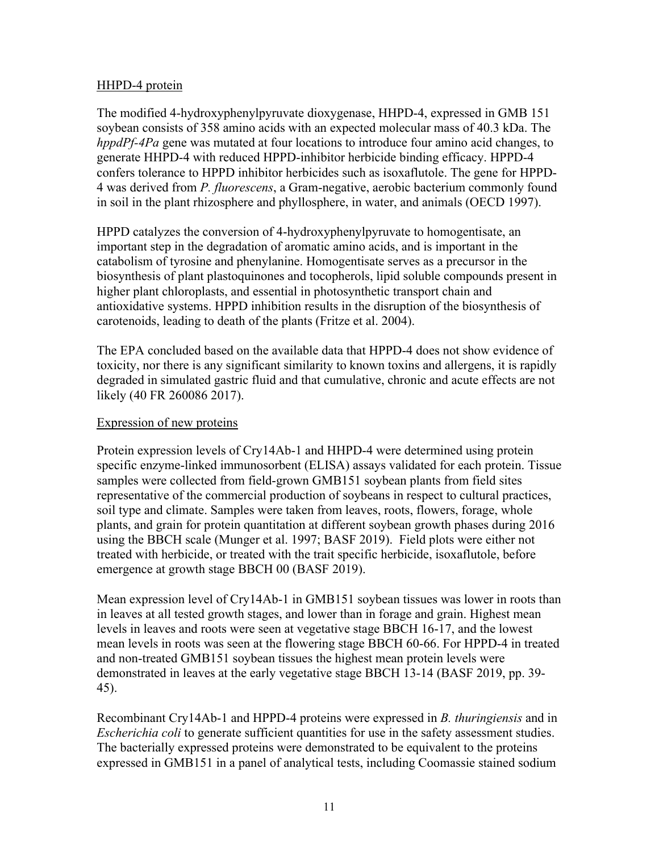#### HHPD-4 protein

The modified 4-hydroxyphenylpyruvate dioxygenase, HHPD-4, expressed in GMB 151 soybean consists of 358 amino acids with an expected molecular mass of 40.3 kDa. The *hppdPf-4Pa* gene was mutated at four locations to introduce four amino acid changes, to generate HHPD-4 with reduced HPPD-inhibitor herbicide binding efficacy. HPPD-4 confers tolerance to HPPD inhibitor herbicides such as isoxaflutole. The gene for HPPD-4 was derived from *P. fluorescens*, a Gram-negative, aerobic bacterium commonly found in soil in the plant rhizosphere and phyllosphere, in water, and animals [\(OECD 1997\)](#page-30-4).

HPPD catalyzes the conversion of 4-hydroxyphenylpyruvate to homogentisate, an important step in the degradation of aromatic amino acids, and is important in the catabolism of tyrosine and phenylanine. Homogentisate serves as a precursor in the biosynthesis of plant plastoquinones and tocopherols, lipid soluble compounds present in higher plant chloroplasts, and essential in photosynthetic transport chain and antioxidative systems. HPPD inhibition results in the disruption of the biosynthesis of carotenoids, leading to death of the plants [\(Fritze et al. 2004\)](#page-29-5).

The EPA concluded based on the available data that HPPD-4 does not show evidence of toxicity, nor there is any significant similarity to known toxins and allergens, it is rapidly degraded in simulated gastric fluid and that cumulative, chronic and acute effects are not likely [\(40 FR 260086 2017\)](#page-27-7).

#### Expression of new proteins

Protein expression levels of Cry14Ab-1 and HHPD-4 were determined using protein specific enzyme-linked immunosorbent (ELISA) assays validated for each protein. Tissue samples were collected from field-grown GMB151 soybean plants from field sites representative of the commercial production of soybeans in respect to cultural practices, soil type and climate. Samples were taken from leaves, roots, flowers, forage, whole plants, and grain for protein quantitation at different soybean growth phases during 2016 using the BBCH scale [\(Munger et al. 1997;](#page-30-5) [BASF 2019\)](#page-27-2). Field plots were either not treated with herbicide, or treated with the trait specific herbicide, isoxaflutole, before emergence at growth stage BBCH 00 [\(BASF 2019\)](#page-27-2).

Mean expression level of Cry14Ab-1 in GMB151 soybean tissues was lower in roots than in leaves at all tested growth stages, and lower than in forage and grain. Highest mean levels in leaves and roots were seen at vegetative stage BBCH 16-17, and the lowest mean levels in roots was seen at the flowering stage BBCH 60-66. For HPPD-4 in treated and non-treated GMB151 soybean tissues the highest mean protein levels were demonstrated in leaves at the early vegetative stage BBCH 13-14 [\(BASF 2019, pp. 39-](#page-27-2) [45\)](#page-27-2).

Recombinant Cry14Ab-1 and HPPD-4 proteins were expressed in *B. thuringiensis* and in *Escherichia coli* to generate sufficient quantities for use in the safety assessment studies. The bacterially expressed proteins were demonstrated to be equivalent to the proteins expressed in GMB151 in a panel of analytical tests, including Coomassie stained sodium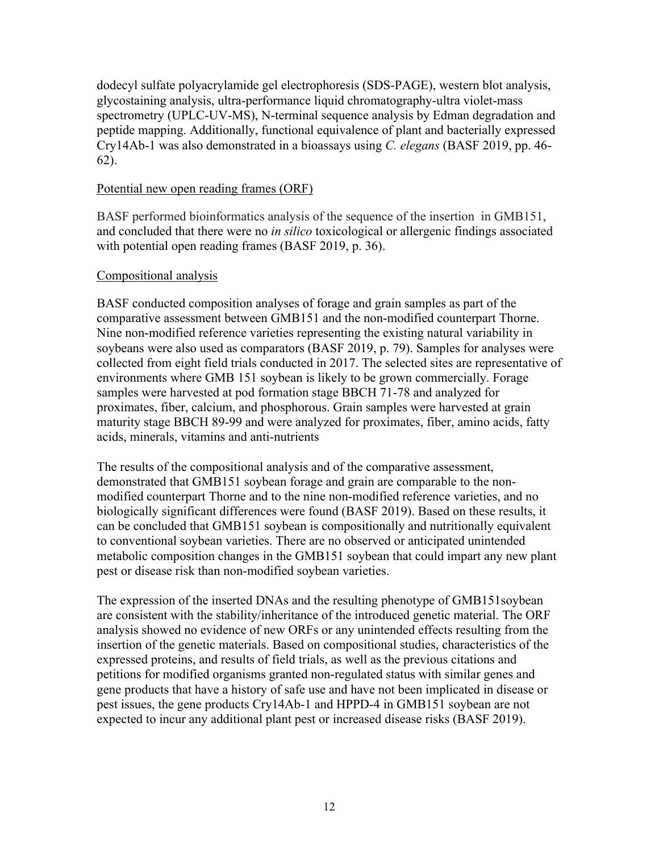dodecyl sulfate polyacrylamide gel electrophoresis (SDS-PAGE), western blot analysis, glycostaining analysis, ultra-performance liquid chromatography-ultra violet-mass spectrometry (UPLC-UV-MS), N-terminal sequence analysis by Edman degradation and peptide mapping. Additionally, functional equivalence of plant and bacterially expressed Cry14Ab-1 was also demonstrated in a bioassays using *C. elegans* [\(BASF 2019, pp. 46-](#page-27-2) [62\)](#page-27-2).

#### Potential new open reading frames (ORF)

BASF performed bioinformatics analysis of the sequence of the insertion in GMB151, and concluded that there were no *in silico* toxicological or allergenic findings associated with potential open reading frames [\(BASF 2019, p. 36\)](#page-27-2).

#### Compositional analysis

BASF conducted composition analyses of forage and grain samples as part of the comparative assessment between GMB151 and the non-modified counterpart Thorne. Nine non-modified reference varieties representing the existing natural variability in soybeans were also used as comparators [\(BASF 2019, p. 79\)](#page-27-2). Samples for analyses were collected from eight field trials conducted in 2017. The selected sites are representative of environments where GMB 151 soybean is likely to be grown commercially. Forage samples were harvested at pod formation stage BBCH 71-78 and analyzed for proximates, fiber, calcium, and phosphorous. Grain samples were harvested at grain maturity stage BBCH 89-99 and were analyzed for proximates, fiber, amino acids, fatty acids, minerals, vitamins and anti-nutrients

The results of the compositional analysis and of the comparative assessment, demonstrated that GMB151 soybean forage and grain are comparable to the nonmodified counterpart Thorne and to the nine non-modified reference varieties, and no biologically significant differences were found [\(BASF 2019\)](#page-27-2). Based on these results, it can be concluded that GMB151 soybean is compositionally and nutritionally equivalent to conventional soybean varieties. There are no observed or anticipated unintended metabolic composition changes in the GMB151 soybean that could impart any new plant pest or disease risk than non-modified soybean varieties.

The expression of the inserted DNAs and the resulting phenotype of GMB151soybean are consistent with the stability/inheritance of the introduced genetic material. The ORF analysis showed no evidence of new ORFs or any unintended effects resulting from the insertion of the genetic materials. Based on compositional studies, characteristics of the expressed proteins, and results of field trials, as well as the previous citations and petitions for modified organisms granted non-regulated status with similar genes and gene products that have a history of safe use and have not been implicated in disease or pest issues, the gene products Cry14Ab-1 and HPPD-4 in GMB151 soybean are not expected to incur any additional plant pest or increased disease risks [\(BASF 2019\)](#page-27-2).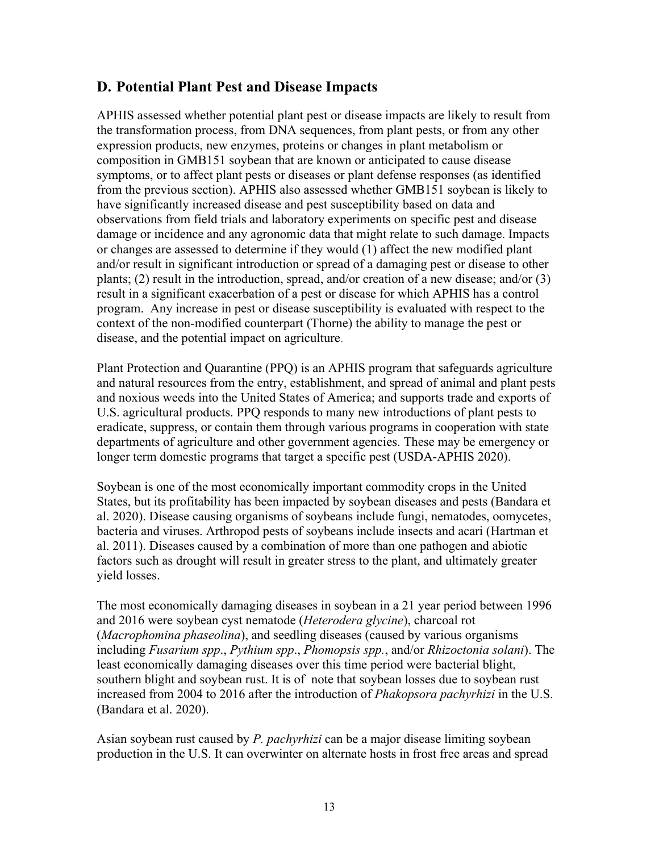## <span id="page-13-0"></span>**D. Potential Plant Pest and Disease Impacts**

APHIS assessed whether potential plant pest or disease impacts are likely to result from the transformation process, from DNA sequences, from plant pests, or from any other expression products, new enzymes, proteins or changes in plant metabolism or composition in GMB151 soybean that are known or anticipated to cause disease symptoms, or to affect plant pests or diseases or plant defense responses (as identified from the previous section). APHIS also assessed whether GMB151 soybean is likely to have significantly increased disease and pest susceptibility based on data and observations from field trials and laboratory experiments on specific pest and disease damage or incidence and any agronomic data that might relate to such damage. Impacts or changes are assessed to determine if they would (1) affect the new modified plant and/or result in significant introduction or spread of a damaging pest or disease to other plants; (2) result in the introduction, spread, and/or creation of a new disease; and/or (3) result in a significant exacerbation of a pest or disease for which APHIS has a control program. Any increase in pest or disease susceptibility is evaluated with respect to the context of the non-modified counterpart (Thorne) the ability to manage the pest or disease, and the potential impact on agriculture.

Plant Protection and Quarantine (PPQ) is an APHIS program that safeguards agriculture and natural resources from the entry, establishment, and spread of animal and plant pests and noxious weeds into the United States of America; and supports trade and exports of U.S. agricultural products. PPQ responds to many new introductions of plant pests to eradicate, suppress, or contain them through various programs in cooperation with state departments of agriculture and other government agencies. These may be emergency or longer term domestic programs that target a specific pest [\(USDA-APHIS 2020\)](#page-32-6).

Soybean is one of the most economically important commodity crops in the United States, but its profitability has been impacted by soybean diseases and pests [\(Bandara et](#page-27-8)  [al. 2020\)](#page-27-8). Disease causing organisms of soybeans include fungi, nematodes, oomycetes, bacteria and viruses. Arthropod pests of soybeans include insects and acari [\(Hartman et](#page-29-2)  [al. 2011\)](#page-29-2). Diseases caused by a combination of more than one pathogen and abiotic factors such as drought will result in greater stress to the plant, and ultimately greater yield losses.

The most economically damaging diseases in soybean in a 21 year period between 1996 and 2016 were soybean cyst nematode (*Heterodera glycine*), charcoal rot (*Macrophomina phaseolina*), and seedling diseases (caused by various organisms including *Fusarium spp*., *Pythium spp*., *Phomopsis spp.*, and/or *Rhizoctonia solani*). The least economically damaging diseases over this time period were bacterial blight, southern blight and soybean rust. It is of note that soybean losses due to soybean rust increased from 2004 to 2016 after the introduction of *Phakopsora pachyrhizi* in the U.S. [\(Bandara et al. 2020\)](#page-27-8).

Asian soybean rust caused by *P. pachyrhizi* can be a major disease limiting soybean production in the U.S. It can overwinter on alternate hosts in frost free areas and spread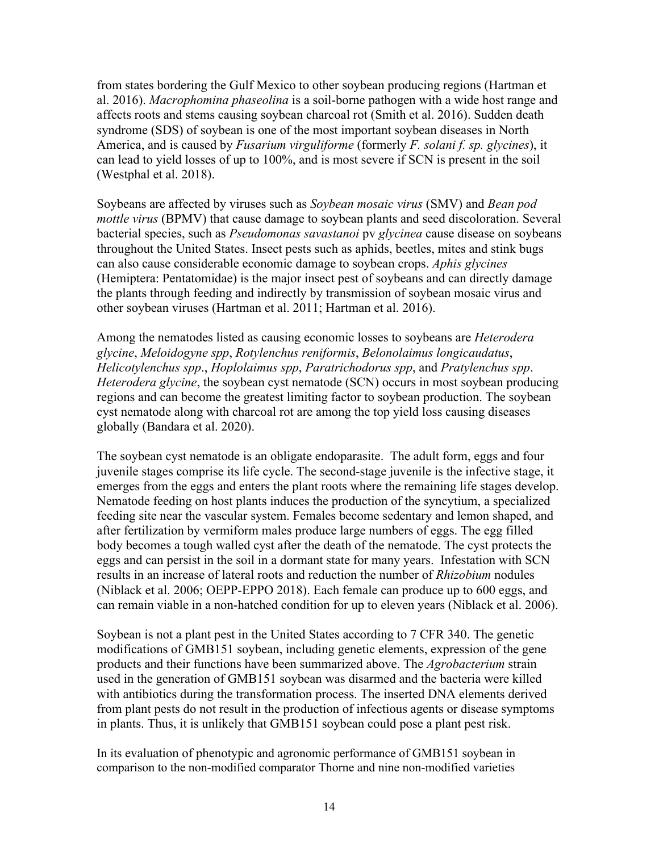from states bordering the Gulf Mexico to other soybean producing regions [\(Hartman et](#page-29-6)  [al. 2016\)](#page-29-6). *Macrophomina phaseolina* is a soil-borne pathogen with a wide host range and affects roots and stems causing soybean charcoal rot [\(Smith et al. 2016\)](#page-31-5). Sudden death syndrome (SDS) of soybean is one of the most important soybean diseases in North America, and is caused by *Fusarium virguliforme* (formerly *F. solani f. sp. glycines*), it can lead to yield losses of up to 100%, and is most severe if SCN is present in the soil [\(Westphal et al. 2018\)](#page-33-1).

Soybeans are affected by viruses such as *Soybean mosaic virus* (SMV) and *Bean pod mottle virus* (BPMV) that cause damage to soybean plants and seed discoloration. Several bacterial species, such as *Pseudomonas savastanoi* pv *glycinea* cause disease on soybeans throughout the United States. Insect pests such as aphids, beetles, mites and stink bugs can also cause considerable economic damage to soybean crops. *Aphis glycines* (Hemiptera: Pentatomidae) is the major insect pest of soybeans and can directly damage the plants through feeding and indirectly by transmission of soybean mosaic virus and other soybean viruses [\(Hartman et al. 2011;](#page-29-2) [Hartman et al. 2016\)](#page-29-6).

Among the nematodes listed as causing economic losses to soybeans are *Heterodera glycine*, *Meloidogyne spp*, *Rotylenchus reniformis*, *Belonolaimus longicaudatus*, *Helicotylenchus spp*., *Hoplolaimus spp*, *Paratrichodorus spp*, and *Pratylenchus spp*. *Heterodera glycine*, the soybean cyst nematode *(SCN)* occurs in most soybean producing regions and can become the greatest limiting factor to soybean production. The soybean cyst nematode along with charcoal rot are among the top yield loss causing diseases globally [\(Bandara et al. 2020\)](#page-27-8).

The soybean cyst nematode is an obligate endoparasite. The adult form, eggs and four juvenile stages comprise its life cycle. The second-stage juvenile is the infective stage, it emerges from the eggs and enters the plant roots where the remaining life stages develop. Nematode feeding on host plants induces the production of the syncytium, a specialized feeding site near the vascular system. Females become sedentary and lemon shaped, and after fertilization by vermiform males produce large numbers of eggs. The egg filled body becomes a tough walled cyst after the death of the nematode. The cyst protects the eggs and can persist in the soil in a dormant state for many years. Infestation with SCN results in an increase of lateral roots and reduction the number of *Rhizobium* nodules [\(Niblack et al. 2006;](#page-30-6) [OEPP-EPPO 2018\)](#page-30-7). Each female can produce up to 600 eggs, and can remain viable in a non-hatched condition for up to eleven years [\(Niblack et al. 2006\)](#page-30-6).

Soybean is not a plant pest in the United States according to 7 CFR 340. The genetic modifications of GMB151 soybean, including genetic elements, expression of the gene products and their functions have been summarized above. The *Agrobacterium* strain used in the generation of GMB151 soybean was disarmed and the bacteria were killed with antibiotics during the transformation process. The inserted DNA elements derived from plant pests do not result in the production of infectious agents or disease symptoms in plants. Thus, it is unlikely that GMB151 soybean could pose a plant pest risk.

In its evaluation of phenotypic and agronomic performance of GMB151 soybean in comparison to the non-modified comparator Thorne and nine non-modified varieties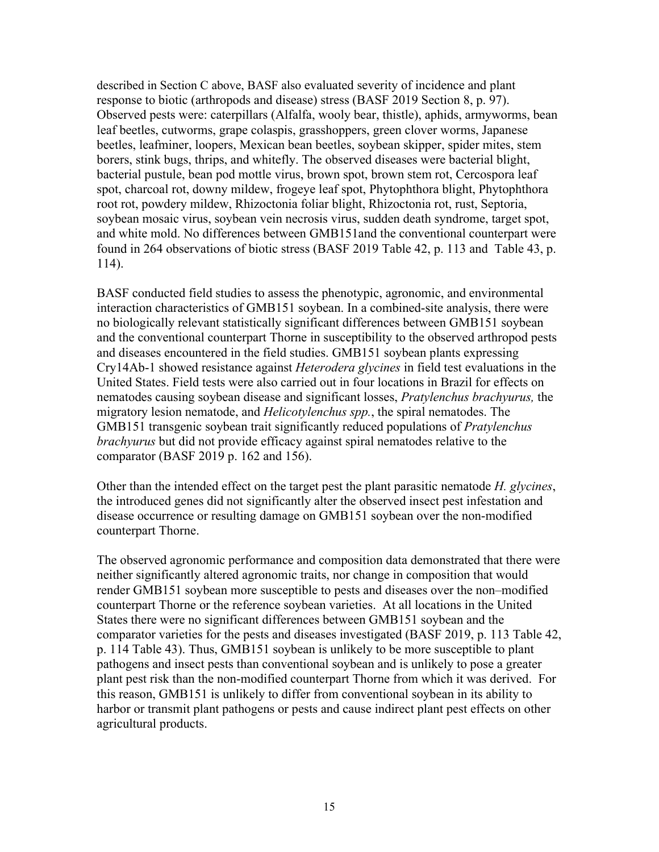described in Section C above, BASF also evaluated severity of incidence and plant response to biotic (arthropods and disease) stress [\(BASF 2019 Section 8, p. 97\)](#page-27-2). Observed pests were: caterpillars (Alfalfa, wooly bear, thistle), aphids, armyworms, bean leaf beetles, cutworms, grape colaspis, grasshoppers, green clover worms, Japanese beetles, leafminer, loopers, Mexican bean beetles, soybean skipper, spider mites, stem borers, stink bugs, thrips, and whitefly. The observed diseases were bacterial blight, bacterial pustule, bean pod mottle virus, brown spot, brown stem rot, Cercospora leaf spot, charcoal rot, downy mildew, frogeye leaf spot, Phytophthora blight, Phytophthora root rot, powdery mildew, Rhizoctonia foliar blight, Rhizoctonia rot, rust, Septoria, soybean mosaic virus, soybean vein necrosis virus, sudden death syndrome, target spot, and white mold. No differences between GMB151and the conventional counterpart were found in 264 observations of biotic stress [\(BASF 2019 Table 42, p. 113 and Table 43, p.](#page-27-2)  [114\)](#page-27-2).

BASF conducted field studies to assess the phenotypic, agronomic, and environmental interaction characteristics of GMB151 soybean. In a combined-site analysis, there were no biologically relevant statistically significant differences between GMB151 soybean and the conventional counterpart Thorne in susceptibility to the observed arthropod pests and diseases encountered in the field studies. GMB151 soybean plants expressing Cry14Ab-1 showed resistance against *Heterodera glycines* in field test evaluations in the United States. Field tests were also carried out in four locations in Brazil for effects on nematodes causing soybean disease and significant losses, *Pratylenchus brachyurus,* the migratory lesion nematode, and *Helicotylenchus spp.*, the spiral nematodes. The GMB151 transgenic soybean trait significantly reduced populations of *Pratylenchus brachyurus* but did not provide efficacy against spiral nematodes relative to the comparator [\(BASF 2019 p. 162 and 156\)](#page-27-2).

Other than the intended effect on the target pest the plant parasitic nematode *H. glycines*, the introduced genes did not significantly alter the observed insect pest infestation and disease occurrence or resulting damage on GMB151 soybean over the non-modified counterpart Thorne.

The observed agronomic performance and composition data demonstrated that there were neither significantly altered agronomic traits, nor change in composition that would render GMB151 soybean more susceptible to pests and diseases over the non–modified counterpart Thorne or the reference soybean varieties. At all locations in the United States there were no significant differences between GMB151 soybean and the comparator varieties for the pests and diseases investigated [\(BASF 2019, p. 113 Table 42,](#page-27-2)  [p. 114 Table 43\)](#page-27-2). Thus, GMB151 soybean is unlikely to be more susceptible to plant pathogens and insect pests than conventional soybean and is unlikely to pose a greater plant pest risk than the non-modified counterpart Thorne from which it was derived. For this reason, GMB151 is unlikely to differ from conventional soybean in its ability to harbor or transmit plant pathogens or pests and cause indirect plant pest effects on other agricultural products.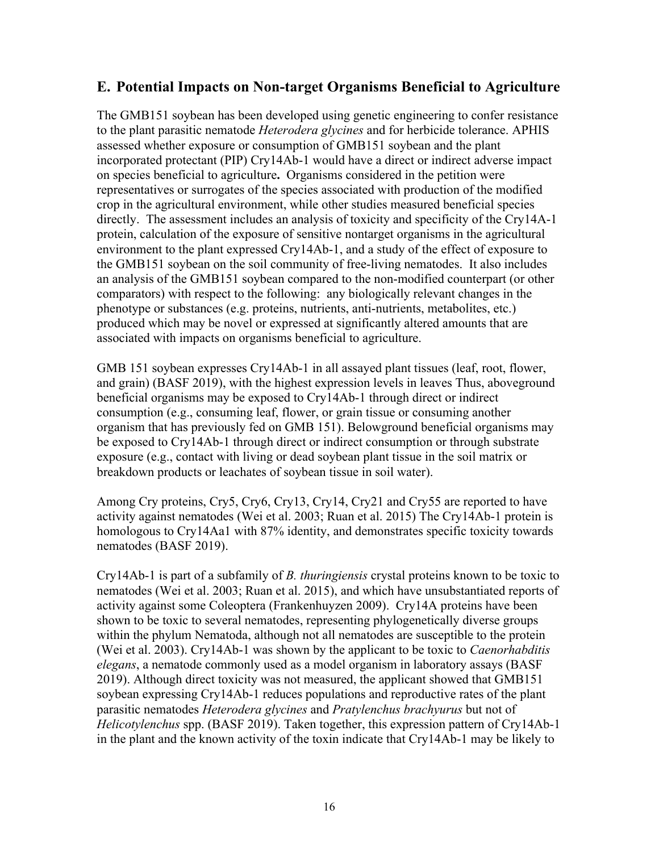## <span id="page-16-0"></span>**E. Potential Impacts on Non-target Organisms Beneficial to Agriculture**

The GMB151 soybean has been developed using genetic engineering to confer resistance to the plant parasitic nematode *Heterodera glycines* and for herbicide tolerance. APHIS assessed whether exposure or consumption of GMB151 soybean and the plant incorporated protectant (PIP) Cry14Ab-1 would have a direct or indirect adverse impact on species beneficial to agriculture**.** Organisms considered in the petition were representatives or surrogates of the species associated with production of the modified crop in the agricultural environment, while other studies measured beneficial species directly. The assessment includes an analysis of toxicity and specificity of the Cry14A-1 protein, calculation of the exposure of sensitive nontarget organisms in the agricultural environment to the plant expressed Cry14Ab-1, and a study of the effect of exposure to the GMB151 soybean on the soil community of free-living nematodes. It also includes an analysis of the GMB151 soybean compared to the non-modified counterpart (or other comparators) with respect to the following: any biologically relevant changes in the phenotype or substances (e.g. proteins, nutrients, anti-nutrients, metabolites, etc.) produced which may be novel or expressed at significantly altered amounts that are associated with impacts on organisms beneficial to agriculture.

GMB 151 soybean expresses Cry14Ab-1 in all assayed plant tissues (leaf, root, flower, and grain) [\(BASF 2019\)](#page-27-2), with the highest expression levels in leaves Thus, aboveground beneficial organisms may be exposed to Cry14Ab-1 through direct or indirect consumption (e.g., consuming leaf, flower, or grain tissue or consuming another organism that has previously fed on GMB 151). Belowground beneficial organisms may be exposed to Cry14Ab-1 through direct or indirect consumption or through substrate exposure (e.g., contact with living or dead soybean plant tissue in the soil matrix or breakdown products or leachates of soybean tissue in soil water).

Among Cry proteins, Cry5, Cry6, Cry13, Cry14, Cry21 and Cry55 are reported to have activity against nematodes [\(Wei et al. 2003;](#page-32-7) [Ruan et al. 2015\)](#page-31-6) The Cry14Ab-1 protein is homologous to Cry14Aa1 with 87% identity, and demonstrates specific toxicity towards nematodes [\(BASF 2019\)](#page-27-2).

Cry14Ab-1 is part of a subfamily of *B. thuringiensis* crystal proteins known to be toxic to nematodes [\(Wei et al. 2003;](#page-32-7) [Ruan et al. 2015\)](#page-31-6), and which have unsubstantiated reports of activity against some Coleoptera [\(Frankenhuyzen](#page-28-2) 2009). Cry14A proteins have been shown to be toxic to several nematodes, representing phylogenetically diverse groups within the phylum Nematoda, although not all nematodes are susceptible to the protein [\(Wei et al. 2003\)](#page-32-7). Cry14Ab-1 was shown by the applicant to be toxic to *Caenorhabditis elegans*, a nematode commonly used as a model organism in laboratory assays [\(BASF](#page-27-2)  [2019\)](#page-27-2). Although direct toxicity was not measured, the applicant showed that GMB151 soybean expressing Cry14Ab-1 reduces populations and reproductive rates of the plant parasitic nematodes *Heterodera glycines* and *Pratylenchus brachyurus* but not of *Helicotylenchus* spp. [\(BASF](#page-27-2) 2019). Taken together, this expression pattern of Cry14Ab-1 in the plant and the known activity of the toxin indicate that Cry14Ab-1 may be likely to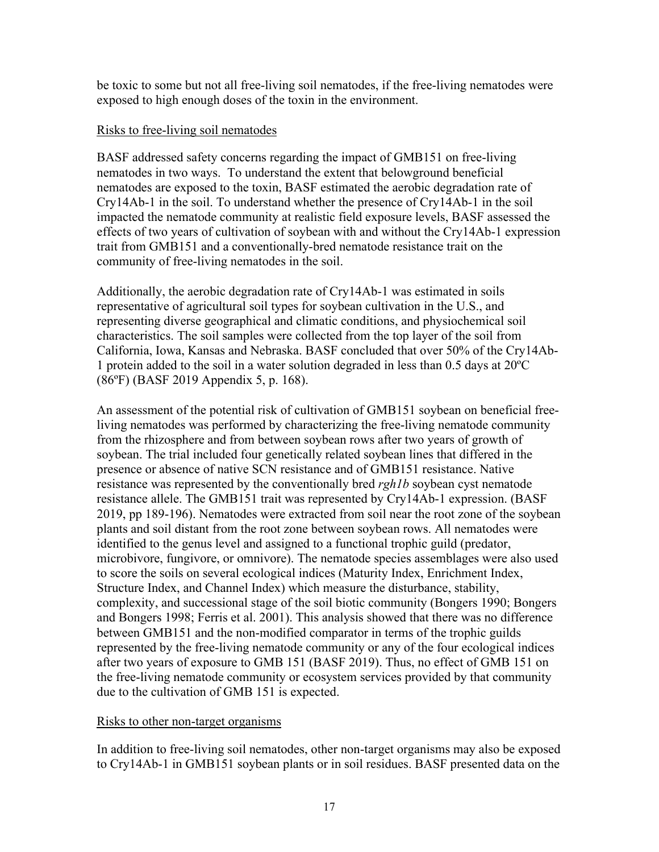be toxic to some but not all free-living soil nematodes, if the free-living nematodes were exposed to high enough doses of the toxin in the environment.

#### Risks to free-living soil nematodes

BASF addressed safety concerns regarding the impact of GMB151 on free-living nematodes in two ways. To understand the extent that belowground beneficial nematodes are exposed to the toxin, BASF estimated the aerobic degradation rate of Cry14Ab-1 in the soil. To understand whether the presence of Cry14Ab-1 in the soil impacted the nematode community at realistic field exposure levels, BASF assessed the effects of two years of cultivation of soybean with and without the Cry14Ab-1 expression trait from GMB151 and a conventionally-bred nematode resistance trait on the community of free-living nematodes in the soil.

Additionally, the aerobic degradation rate of Cry14Ab-1 was estimated in soils representative of agricultural soil types for soybean cultivation in the U.S., and representing diverse geographical and climatic conditions, and physiochemical soil characteristics. The soil samples were collected from the top layer of the soil from California, Iowa, Kansas and Nebraska. BASF concluded that over 50% of the Cry14Ab-1 protein added to the soil in a water solution degraded in less than 0.5 days at 20ºC (86ºF) [\(BASF 2019 Appendix 5, p. 168\)](#page-27-2).

An assessment of the potential risk of cultivation of GMB151 soybean on beneficial freeliving nematodes was performed by characterizing the free-living nematode community from the rhizosphere and from between soybean rows after two years of growth of soybean. The trial included four genetically related soybean lines that differed in the presence or absence of native SCN resistance and of GMB151 resistance. Native resistance was represented by the conventionally bred *rgh1b* soybean cyst nematode resistance allele. The GMB151 trait was represented by Cry14Ab-1 expression. (BASF 2019, pp 189-196). Nematodes were extracted from soil near the root zone of the soybean plants and soil distant from the root zone between soybean rows. All nematodes were identified to the genus level and assigned to a functional trophic guild (predator, microbivore, fungivore, or omnivore). The nematode species assemblages were also used to score the soils on several ecological indices (Maturity Index, Enrichment Index, Structure Index, and Channel Index) which measure the disturbance, stability, complexity, and successional stage of the soil biotic community [\(Bongers 1990;](#page-27-9) [Bongers](#page-28-3)  [and Bongers 1998;](#page-28-3) [Ferris et al. 2001\)](#page-28-4). This analysis showed that there was no difference between GMB151 and the non-modified comparator in terms of the trophic guilds represented by the free-living nematode community or any of the four ecological indices after two years of exposure to GMB 151 [\(BASF 2019\)](#page-27-2). Thus, no effect of GMB 151 on the free-living nematode community or ecosystem services provided by that community due to the cultivation of GMB 151 is expected.

#### Risks to other non-target organisms

In addition to free-living soil nematodes, other non-target organisms may also be exposed to Cry14Ab-1 in GMB151 soybean plants or in soil residues. BASF presented data on the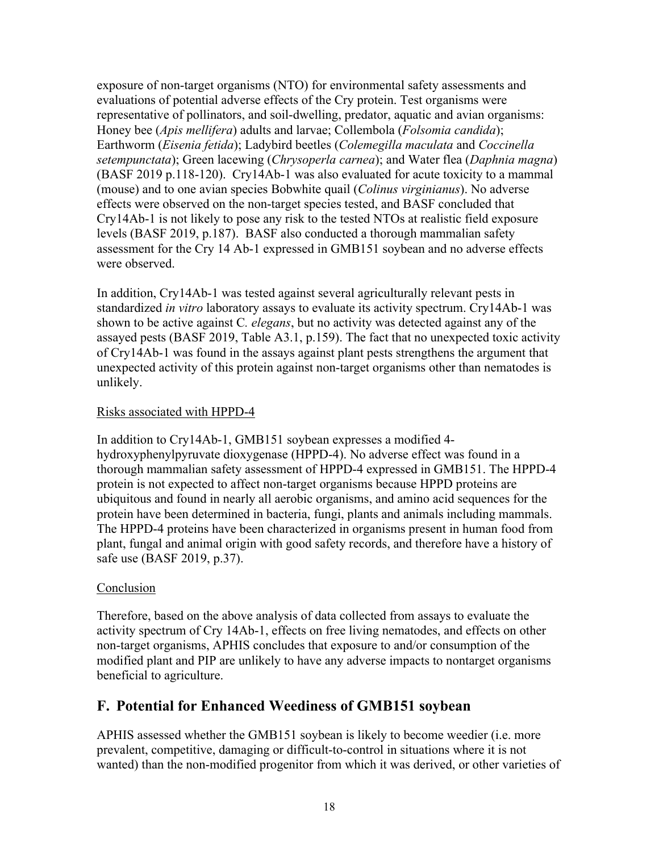exposure of non-target organisms (NTO) for environmental safety assessments and evaluations of potential adverse effects of the Cry protein. Test organisms were representative of pollinators, and soil-dwelling, predator, aquatic and avian organisms: Honey bee (*Apis mellifera*) adults and larvae; Collembola (*Folsomia candida*); Earthworm (*Eisenia fetida*); Ladybird beetles (*Colemegilla maculata* and *Coccinella setempunctata*); Green lacewing (*Chrysoperla carnea*); and Water flea (*Daphnia magna*) [\(BASF 2019 p.118-120\)](#page-27-2). Cry14Ab-1 was also evaluated for acute toxicity to a mammal (mouse) and to one avian species Bobwhite quail (*Colinus virginianus*). No adverse effects were observed on the non-target species tested, and BASF concluded that Cry14Ab-1 is not likely to pose any risk to the tested NTOs at realistic field exposure levels [\(BASF 2019, p.187\)](#page-27-2). BASF also conducted a thorough mammalian safety assessment for the Cry 14 Ab-1 expressed in GMB151 soybean and no adverse effects were observed.

In addition, Cry14Ab-1 was tested against several agriculturally relevant pests in standardized *in vitro* laboratory assays to evaluate its activity spectrum. Cry14Ab-1 was shown to be active against C*. elegans*, but no activity was detected against any of the assayed pests [\(BASF 2019, Table A3.1, p.159\)](#page-27-2). The fact that no unexpected toxic activity of Cry14Ab-1 was found in the assays against plant pests strengthens the argument that unexpected activity of this protein against non-target organisms other than nematodes is unlikely.

#### Risks associated with HPPD-4

In addition to Cry14Ab-1, GMB151 soybean expresses a modified 4 hydroxyphenylpyruvate dioxygenase (HPPD-4). No adverse effect was found in a thorough mammalian safety assessment of HPPD-4 expressed in GMB151. The HPPD-4 protein is not expected to affect non-target organisms because HPPD proteins are ubiquitous and found in nearly all aerobic organisms, and amino acid sequences for the protein have been determined in bacteria, fungi, plants and animals including mammals. The HPPD-4 proteins have been characterized in organisms present in human food from plant, fungal and animal origin with good safety records, and therefore have a history of safe use [\(BASF 2019,](#page-27-2) p.37).

#### Conclusion

Therefore, based on the above analysis of data collected from assays to evaluate the activity spectrum of Cry 14Ab-1, effects on free living nematodes, and effects on other non-target organisms, APHIS concludes that exposure to and/or consumption of the modified plant and PIP are unlikely to have any adverse impacts to nontarget organisms beneficial to agriculture.

# <span id="page-18-0"></span>**F. Potential for Enhanced Weediness of GMB151 soybean**

APHIS assessed whether the GMB151 soybean is likely to become weedier (i.e. more prevalent, competitive, damaging or difficult-to-control in situations where it is not wanted) than the non-modified progenitor from which it was derived, or other varieties of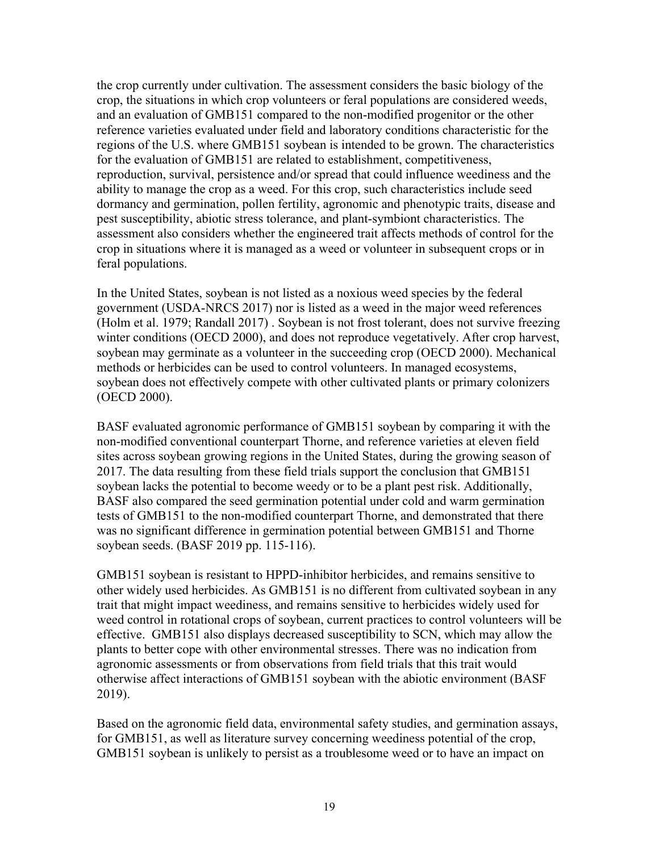the crop currently under cultivation. The assessment considers the basic biology of the crop, the situations in which crop volunteers or feral populations are considered weeds, and an evaluation of GMB151 compared to the non-modified progenitor or the other reference varieties evaluated under field and laboratory conditions characteristic for the regions of the U.S. where GMB151 soybean is intended to be grown. The characteristics for the evaluation of GMB151 are related to establishment, competitiveness, reproduction, survival, persistence and/or spread that could influence weediness and the ability to manage the crop as a weed. For this crop, such characteristics include seed dormancy and germination, pollen fertility, agronomic and phenotypic traits, disease and pest susceptibility, abiotic stress tolerance, and plant-symbiont characteristics. The assessment also considers whether the engineered trait affects methods of control for the crop in situations where it is managed as a weed or volunteer in subsequent crops or in feral populations.

In the United States, soybean is not listed as a noxious weed species by the federal government [\(USDA-NRCS 2017\)](#page-32-8) nor is listed as a weed in the major weed references [\(Holm et al. 1979;](#page-29-7) [Randall 2017\)](#page-30-8) . Soybean is not frost tolerant, does not survive freezing winter conditions [\(OECD 2000\)](#page-30-1), and does not reproduce vegetatively. After crop harvest, soybean may germinate as a volunteer in the succeeding crop [\(OECD 2000\)](#page-30-1). Mechanical methods or herbicides can be used to control volunteers. In managed ecosystems, soybean does not effectively compete with other cultivated plants or primary colonizers [\(OECD 2000\)](#page-30-1).

BASF evaluated agronomic performance of GMB151 soybean by comparing it with the non-modified conventional counterpart Thorne, and reference varieties at eleven field sites across soybean growing regions in the United States, during the growing season of 2017. The data resulting from these field trials support the conclusion that GMB151 soybean lacks the potential to become weedy or to be a plant pest risk. Additionally, BASF also compared the seed germination potential under cold and warm germination tests of GMB151 to the non-modified counterpart Thorne, and demonstrated that there was no significant difference in germination potential between GMB151 and Thorne soybean seeds. [\(BASF 2019 pp. 115-116\)](#page-27-2).

GMB151 soybean is resistant to HPPD-inhibitor herbicides, and remains sensitive to other widely used herbicides. As GMB151 is no different from cultivated soybean in any trait that might impact weediness, and remains sensitive to herbicides widely used for weed control in rotational crops of soybean, current practices to control volunteers will be effective. GMB151 also displays decreased susceptibility to SCN, which may allow the plants to better cope with other environmental stresses. There was no indication from agronomic assessments or from observations from field trials that this trait would otherwise affect interactions of GMB151 soybean with the abiotic environment [\(BASF](#page-27-2)  [2019\)](#page-27-2).

Based on the agronomic field data, environmental safety studies, and germination assays, for GMB151, as well as literature survey concerning weediness potential of the crop, GMB151 soybean is unlikely to persist as a troublesome weed or to have an impact on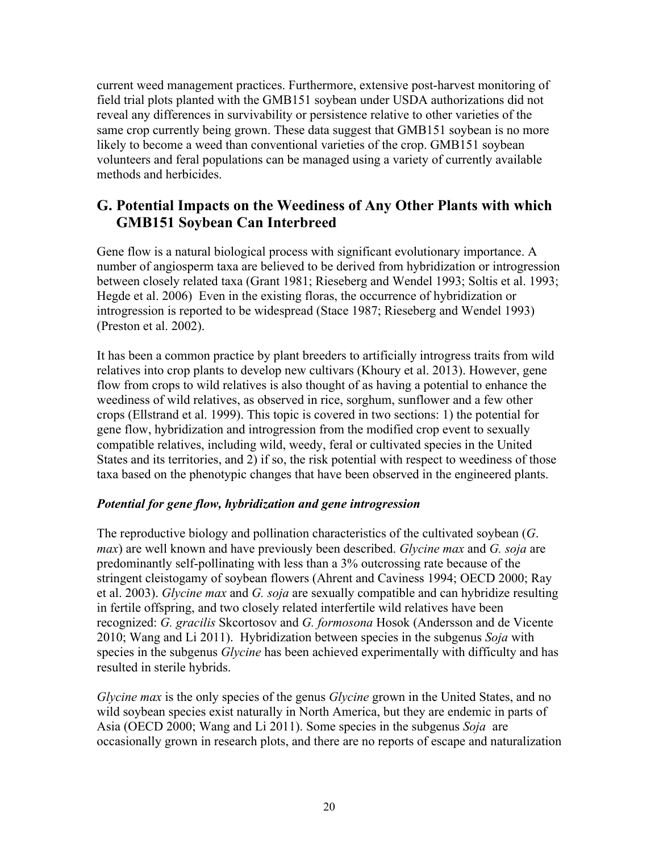current weed management practices. Furthermore, extensive post-harvest monitoring of field trial plots planted with the GMB151 soybean under USDA authorizations did not reveal any differences in survivability or persistence relative to other varieties of the same crop currently being grown. These data suggest that GMB151 soybean is no more likely to become a weed than conventional varieties of the crop. GMB151 soybean volunteers and feral populations can be managed using a variety of currently available methods and herbicides.

# <span id="page-20-0"></span>**G. Potential Impacts on the Weediness of Any Other Plants with which GMB151 Soybean Can Interbreed**

Gene flow is a natural biological process with significant evolutionary importance. A number of angiosperm taxa are believed to be derived from hybridization or introgression between closely related taxa [\(Grant 1981;](#page-29-8) [Rieseberg and Wendel 1993;](#page-31-7) [Soltis et al. 1993;](#page-31-8) [Hegde et al. 2006\)](#page-29-9) Even in the existing floras, the occurrence of hybridization or introgression is reported to be widespread [\(Stace 1987;](#page-31-9) [Rieseberg and Wendel 1993\)](#page-31-7) [\(Preston et al. 2002\)](#page-30-9).

It has been a common practice by plant breeders to artificially introgress traits from wild relatives into crop plants to develop new cultivars [\(Khoury et al. 2013\)](#page-30-10). However, gene flow from crops to wild relatives is also thought of as having a potential to enhance the weediness of wild relatives, as observed in rice, sorghum, sunflower and a few other crops [\(Ellstrand et al. 1999\)](#page-28-5). This topic is covered in two sections: 1) the potential for gene flow, hybridization and introgression from the modified crop event to sexually compatible relatives, including wild, weedy, feral or cultivated species in the United States and its territories, and 2) if so, the risk potential with respect to weediness of those taxa based on the phenotypic changes that have been observed in the engineered plants.

#### *Potential for gene flow, hybridization and gene introgression*

The reproductive biology and pollination characteristics of the cultivated soybean (*G*. *max*) are well known and have previously been described. *Glycine max* and *G. soja* are predominantly self-pollinating with less than a 3% outcrossing rate because of the stringent cleistogamy of soybean flowers [\(Ahrent and Caviness 1994;](#page-27-10) [OECD 2000;](#page-30-1) [Ray](#page-31-10)  [et al. 2003\)](#page-31-10). *Glycine max* and *G. soja* are sexually compatible and can hybridize resulting in fertile offspring, and two closely related interfertile wild relatives have been recognized: *G. gracilis* Skcortosov and *G. formosona* Hosok [\(Andersson and de Vicente](#page-27-11)  [2010;](#page-27-11) [Wang and Li 2011\)](#page-32-9). Hybridization between species in the subgenus *Soja* with species in the subgenus *Glycine* has been achieved experimentally with difficulty and has resulted in sterile hybrids.

*Glycine max* is the only species of the genus *Glycine* grown in the United States, and no wild soybean species exist naturally in North America, but they are endemic in parts of Asia [\(OECD 2000;](#page-30-1) [Wang and Li 2011\)](#page-32-9). Some species in the subgenus *Soja* are occasionally grown in research plots, and there are no reports of escape and naturalization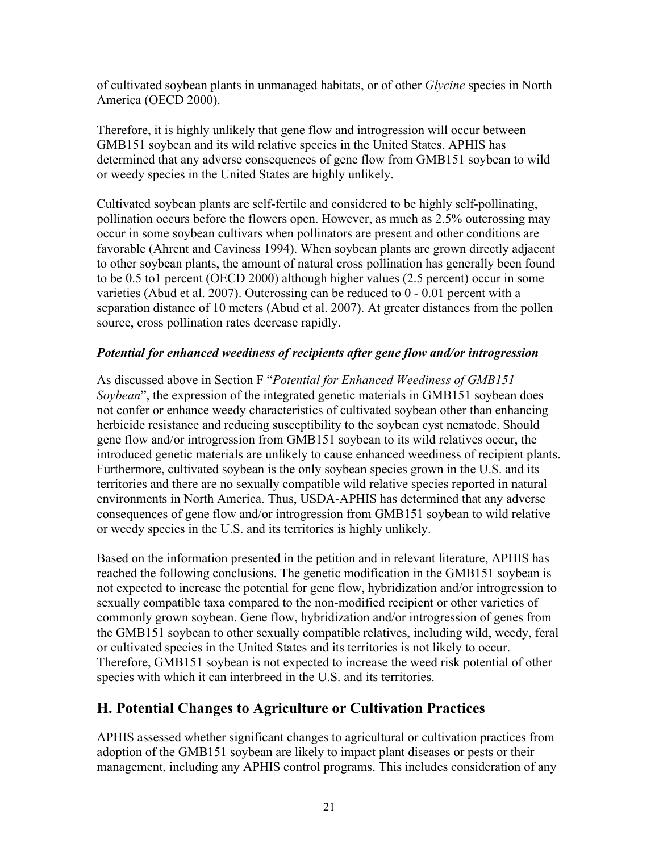of cultivated soybean plants in unmanaged habitats, or of other *Glycine* species in North America [\(OECD 2000\)](#page-30-1).

Therefore, it is highly unlikely that gene flow and introgression will occur between GMB151 soybean and its wild relative species in the United States. APHIS has determined that any adverse consequences of gene flow from GMB151 soybean to wild or weedy species in the United States are highly unlikely.

Cultivated soybean plants are self-fertile and considered to be highly self-pollinating, pollination occurs before the flowers open. However, as much as 2.5% outcrossing may occur in some soybean cultivars when pollinators are present and other conditions are favorable [\(Ahrent and Caviness 1994\)](#page-27-10). When soybean plants are grown directly adjacent to other soybean plants, the amount of natural cross pollination has generally been found to be 0.5 to1 percent [\(OECD 2000\)](#page-30-1) although higher values (2.5 percent) occur in some varieties [\(Abud et al. 2007\)](#page-27-12). Outcrossing can be reduced to 0 - 0.01 percent with a separation distance of 10 meters [\(Abud et al. 2007\)](#page-27-12). At greater distances from the pollen source, cross pollination rates decrease rapidly.

#### *Potential for enhanced weediness of recipients after gene flow and/or introgression*

As discussed above in Section F "*Potential for Enhanced Weediness of GMB151 Soybean*", the expression of the integrated genetic materials in GMB151 soybean does not confer or enhance weedy characteristics of cultivated soybean other than enhancing herbicide resistance and reducing susceptibility to the soybean cyst nematode. Should gene flow and/or introgression from GMB151 soybean to its wild relatives occur, the introduced genetic materials are unlikely to cause enhanced weediness of recipient plants. Furthermore, cultivated soybean is the only soybean species grown in the U.S. and its territories and there are no sexually compatible wild relative species reported in natural environments in North America. Thus, USDA-APHIS has determined that any adverse consequences of gene flow and/or introgression from GMB151 soybean to wild relative or weedy species in the U.S. and its territories is highly unlikely.

Based on the information presented in the petition and in relevant literature, APHIS has reached the following conclusions. The genetic modification in the GMB151 soybean is not expected to increase the potential for gene flow, hybridization and/or introgression to sexually compatible taxa compared to the non-modified recipient or other varieties of commonly grown soybean. Gene flow, hybridization and/or introgression of genes from the GMB151 soybean to other sexually compatible relatives, including wild, weedy, feral or cultivated species in the United States and its territories is not likely to occur. Therefore, GMB151 soybean is not expected to increase the weed risk potential of other species with which it can interbreed in the U.S. and its territories.

# <span id="page-21-0"></span>**H. Potential Changes to Agriculture or Cultivation Practices**

APHIS assessed whether significant changes to agricultural or cultivation practices from adoption of the GMB151 soybean are likely to impact plant diseases or pests or their management, including any APHIS control programs. This includes consideration of any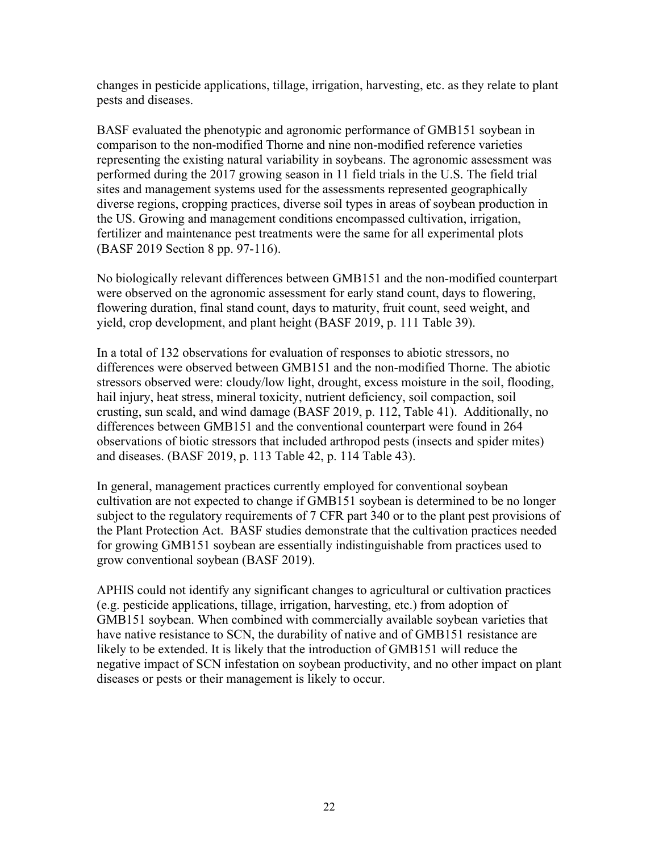changes in pesticide applications, tillage, irrigation, harvesting, etc. as they relate to plant pests and diseases.

BASF evaluated the phenotypic and agronomic performance of GMB151 soybean in comparison to the non-modified Thorne and nine non-modified reference varieties representing the existing natural variability in soybeans. The agronomic assessment was performed during the 2017 growing season in 11 field trials in the U.S. The field trial sites and management systems used for the assessments represented geographically diverse regions, cropping practices, diverse soil types in areas of soybean production in the US. Growing and management conditions encompassed cultivation, irrigation, fertilizer and maintenance pest treatments were the same for all experimental plots [\(BASF 2019 Section 8 pp. 97-116\)](#page-27-2).

No biologically relevant differences between GMB151 and the non-modified counterpart were observed on the agronomic assessment for early stand count, days to flowering, flowering duration, final stand count, days to maturity, fruit count, seed weight, and yield, crop development, and plant height [\(BASF 2019, p. 111 Table 39\)](#page-27-2).

In a total of 132 observations for evaluation of responses to abiotic stressors, no differences were observed between GMB151 and the non-modified Thorne. The abiotic stressors observed were: cloudy/low light, drought, excess moisture in the soil, flooding, hail injury, heat stress, mineral toxicity, nutrient deficiency, soil compaction, soil crusting, sun scald, and wind damage [\(BASF 2019, p. 112, Table 41\)](#page-27-2). Additionally, no differences between GMB151 and the conventional counterpart were found in 264 observations of biotic stressors that included arthropod pests (insects and spider mites) and diseases. [\(BASF 2019, p. 113 Table 42, p. 114 Table 43\)](#page-27-2).

In general, management practices currently employed for conventional soybean cultivation are not expected to change if GMB151 soybean is determined to be no longer subject to the regulatory requirements of 7 CFR part 340 or to the plant pest provisions of the Plant Protection Act. BASF studies demonstrate that the cultivation practices needed for growing GMB151 soybean are essentially indistinguishable from practices used to grow conventional soybean [\(BASF 2019\)](#page-27-2).

APHIS could not identify any significant changes to agricultural or cultivation practices (e.g. pesticide applications, tillage, irrigation, harvesting, etc.) from adoption of GMB151 soybean. When combined with commercially available soybean varieties that have native resistance to SCN, the durability of native and of GMB151 resistance are likely to be extended. It is likely that the introduction of GMB151 will reduce the negative impact of SCN infestation on soybean productivity, and no other impact on plant diseases or pests or their management is likely to occur.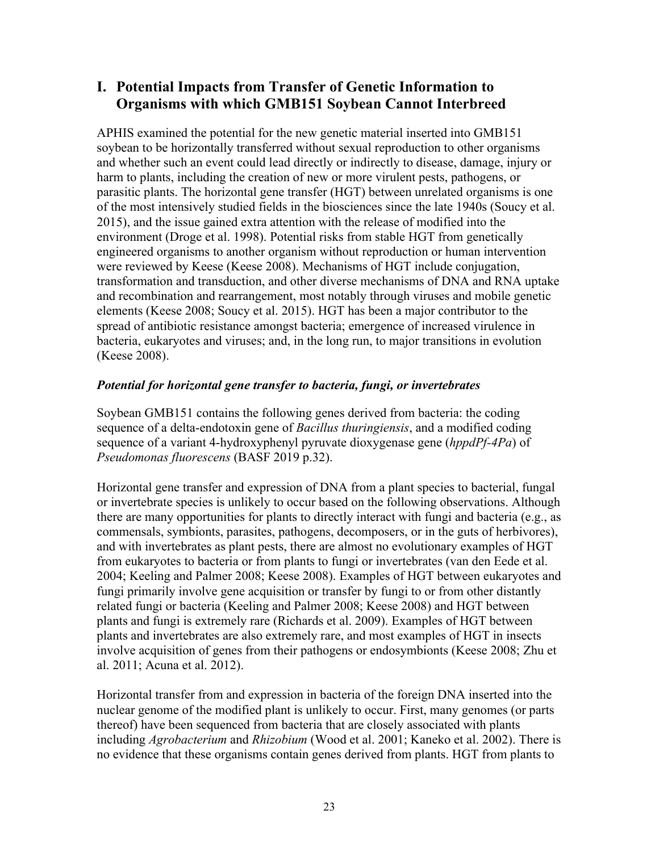# <span id="page-23-0"></span>**I. Potential Impacts from Transfer of Genetic Information to Organisms with which GMB151 Soybean Cannot Interbreed**

APHIS examined the potential for the new genetic material inserted into GMB151 soybean to be horizontally transferred without sexual reproduction to other organisms and whether such an event could lead directly or indirectly to disease, damage, injury or harm to plants, including the creation of new or more virulent pests, pathogens, or parasitic plants. The horizontal gene transfer (HGT) between unrelated organisms is one of the most intensively studied fields in the biosciences since the late 1940s [\(Soucy et al.](#page-31-11)  [2015\)](#page-31-11), and the issue gained extra attention with the release of modified into the environment [\(Droge et al. 1998\)](#page-28-6). Potential risks from stable HGT from genetically engineered organisms to another organism without reproduction or human intervention were reviewed by Keese [\(Keese 2008\)](#page-30-11). Mechanisms of HGT include conjugation, transformation and transduction, and other diverse mechanisms of DNA and RNA uptake and recombination and rearrangement, most notably through viruses and mobile genetic elements [\(Keese 2008;](#page-30-11) [Soucy et al. 2015\)](#page-31-11). HGT has been a major contributor to the spread of antibiotic resistance amongst bacteria; emergence of increased virulence in bacteria, eukaryotes and viruses; and, in the long run, to major transitions in evolution [\(Keese 2008\)](#page-30-11).

#### *Potential for horizontal gene transfer to bacteria, fungi, or invertebrates*

Soybean GMB151 contains the following genes derived from bacteria: the coding sequence of a delta-endotoxin gene of *Bacillus thuringiensis*, and a modified coding sequence of a variant 4-hydroxyphenyl pyruvate dioxygenase gene (*hppdPf-4Pa*) of *Pseudomonas fluorescens* (BASF [2019 p.32\)](#page-27-2).

Horizontal gene transfer and expression of DNA from a plant species to bacterial, fungal or invertebrate species is unlikely to occur based on the following observations. Although there are many opportunities for plants to directly interact with fungi and bacteria (e.g., as commensals, symbionts, parasites, pathogens, decomposers, or in the guts of herbivores), and with invertebrates as plant pests, there are almost no evolutionary examples of HGT from eukaryotes to bacteria or from plants to fungi or invertebrates [\(van den Eede et al.](#page-32-10)  [2004;](#page-32-10) [Keeling and Palmer 2008;](#page-30-12) [Keese 2008\)](#page-30-11). Examples of HGT between eukaryotes and fungi primarily involve gene acquisition or transfer by fungi to or from other distantly related fungi or bacteria [\(Keeling and Palmer 2008;](#page-30-12) [Keese 2008\)](#page-30-11) and HGT between plants and fungi is extremely rare [\(Richards et al. 2009\)](#page-31-12). Examples of HGT between plants and invertebrates are also extremely rare, and most examples of HGT in insects involve acquisition of genes from their pathogens or endosymbionts [\(Keese 2008;](#page-30-11) [Zhu et](#page-33-2)  [al. 2011;](#page-33-2) [Acuna et al. 2012\)](#page-27-13).

Horizontal transfer from and expression in bacteria of the foreign DNA inserted into the nuclear genome of the modified plant is unlikely to occur. First, many genomes (or parts thereof) have been sequenced from bacteria that are closely associated with plants including *Agrobacterium* and *Rhizobium* [\(Wood et al. 2001;](#page-33-3) [Kaneko et al. 2002\)](#page-29-10). There is no evidence that these organisms contain genes derived from plants. HGT from plants to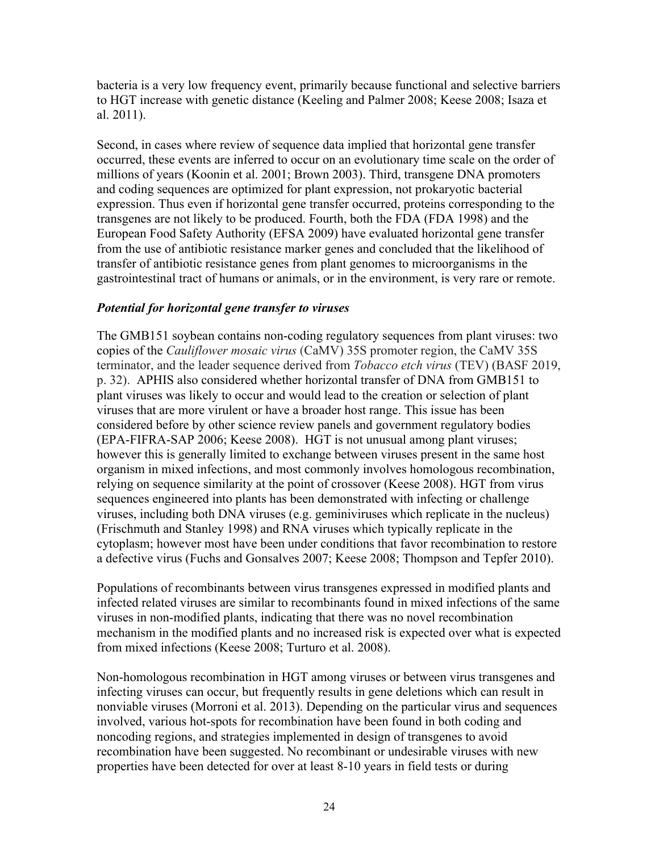bacteria is a very low frequency event, primarily because functional and selective barriers to HGT increase with genetic distance [\(Keeling and Palmer 2008;](#page-30-12) [Keese 2008;](#page-30-11) [Isaza et](#page-29-11)  [al. 2011\)](#page-29-11).

Second, in cases where review of sequence data implied that horizontal gene transfer occurred, these events are inferred to occur on an evolutionary time scale on the order of millions of years [\(Koonin et al. 2001;](#page-30-13) [Brown 2003\)](#page-28-7). Third, transgene DNA promoters and coding sequences are optimized for plant expression, not prokaryotic bacterial expression. Thus even if horizontal gene transfer occurred, proteins corresponding to the transgenes are not likely to be produced. Fourth, both the FDA [\(FDA 1998\)](#page-28-8) and the European Food Safety Authority [\(EFSA 2009\)](#page-28-9) have evaluated horizontal gene transfer from the use of antibiotic resistance marker genes and concluded that the likelihood of transfer of antibiotic resistance genes from plant genomes to microorganisms in the gastrointestinal tract of humans or animals, or in the environment, is very rare or remote.

#### *Potential for horizontal gene transfer to viruses*

The GMB151 soybean contains non-coding regulatory sequences from plant viruses: two copies of the *Cauliflower mosaic virus* (CaMV) 35S promoter region, the CaMV 35S terminator, and the leader sequence derived from *Tobacco etch virus* (TEV) [\(BASF 2019,](#page-27-2)  [p. 32\)](#page-27-2). APHIS also considered whether horizontal transfer of DNA from GMB151 to plant viruses was likely to occur and would lead to the creation or selection of plant viruses that are more virulent or have a broader host range. This issue has been considered before by other science review panels and government regulatory bodies [\(EPA-FIFRA-SAP 2006;](#page-28-10) [Keese 2008\)](#page-30-11). HGT is not unusual among plant viruses; however this is generally limited to exchange between viruses present in the same host organism in mixed infections, and most commonly involves homologous recombination, relying on sequence similarity at the point of crossover [\(Keese 2008\)](#page-30-11). HGT from virus sequences engineered into plants has been demonstrated with infecting or challenge viruses, including both DNA viruses (e.g. geminiviruses which replicate in the nucleus) [\(Frischmuth and Stanley 1998\)](#page-28-11) and RNA viruses which typically replicate in the cytoplasm; however most have been under conditions that favor recombination to restore a defective virus [\(Fuchs and Gonsalves 2007;](#page-29-12) [Keese 2008;](#page-30-11) [Thompson and Tepfer 2010\)](#page-31-13).

Populations of recombinants between virus transgenes expressed in modified plants and infected related viruses are similar to recombinants found in mixed infections of the same viruses in non-modified plants, indicating that there was no novel recombination mechanism in the modified plants and no increased risk is expected over what is expected from mixed infections [\(Keese 2008;](#page-30-11) [Turturo et al. 2008\)](#page-32-11).

Non-homologous recombination in HGT among viruses or between virus transgenes and infecting viruses can occur, but frequently results in gene deletions which can result in nonviable viruses [\(Morroni et al. 2013\)](#page-30-14). Depending on the particular virus and sequences involved, various hot-spots for recombination have been found in both coding and noncoding regions, and strategies implemented in design of transgenes to avoid recombination have been suggested. No recombinant or undesirable viruses with new properties have been detected for over at least 8-10 years in field tests or during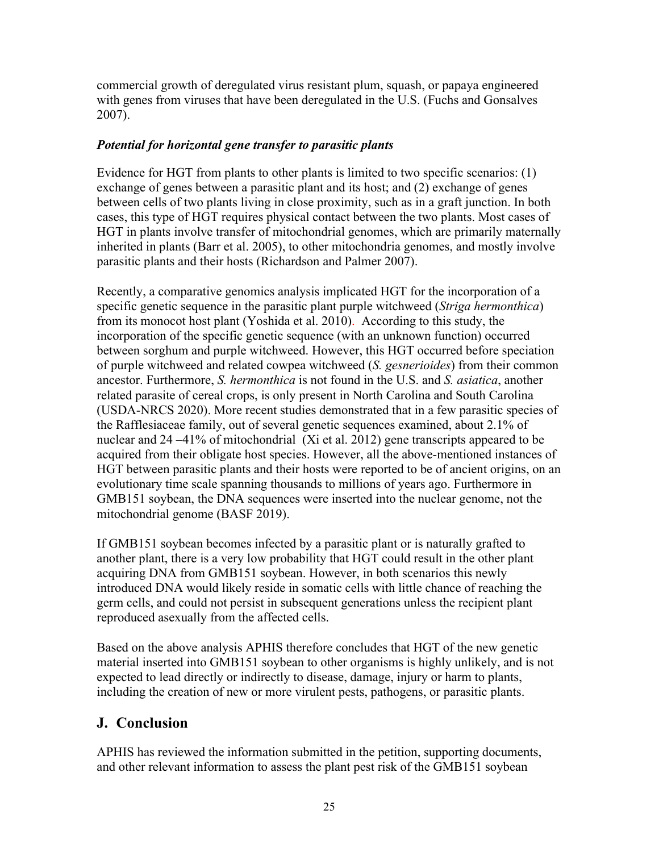commercial growth of deregulated virus resistant plum, squash, or papaya engineered with genes from viruses that have been deregulated in the U.S. [\(Fuchs and Gonsalves](#page-29-12)  [2007\)](#page-29-12).

#### *Potential for horizontal gene transfer to parasitic plants*

Evidence for HGT from plants to other plants is limited to two specific scenarios: (1) exchange of genes between a parasitic plant and its host; and (2) exchange of genes between cells of two plants living in close proximity, such as in a graft junction. In both cases, this type of HGT requires physical contact between the two plants. Most cases of HGT in plants involve transfer of mitochondrial genomes, which are primarily maternally inherited in plants [\(Barr et al. 2005\)](#page-27-14), to other mitochondria genomes, and mostly involve parasitic plants and their hosts [\(Richardson and Palmer 2007\)](#page-31-14).

Recently, a comparative genomics analysis implicated HGT for the incorporation of a specific genetic sequence in the parasitic plant purple witchweed (*Striga hermonthica*) from its monocot host plant [\(Yoshida et al. 2010\)](#page-33-4). According to this study, the incorporation of the specific genetic sequence (with an unknown function) occurred between sorghum and purple witchweed. However, this HGT occurred before speciation of purple witchweed and related cowpea witchweed (*S. gesnerioides*) from their common ancestor. Furthermore, *S. hermonthica* is not found in the U.S. and *S. asiatica*, another related parasite of cereal crops, is only present in North Carolina and South Carolina [\(USDA-NRCS 2020\)](#page-32-12). More recent studies demonstrated that in a few parasitic species of the Rafflesiaceae family, out of several genetic sequences examined, about 2.1% of nuclear and 24 –41% of mitochondrial [\(Xi et al. 2012\)](#page-33-5) gene transcripts appeared to be acquired from their obligate host species. However, all the above-mentioned instances of HGT between parasitic plants and their hosts were reported to be of ancient origins, on an evolutionary time scale spanning thousands to millions of years ago. Furthermore in GMB151 soybean, the DNA sequences were inserted into the nuclear genome, not the mitochondrial genome [\(BASF 2019\)](#page-27-2).

If GMB151 soybean becomes infected by a parasitic plant or is naturally grafted to another plant, there is a very low probability that HGT could result in the other plant acquiring DNA from GMB151 soybean. However, in both scenarios this newly introduced DNA would likely reside in somatic cells with little chance of reaching the germ cells, and could not persist in subsequent generations unless the recipient plant reproduced asexually from the affected cells.

Based on the above analysis APHIS therefore concludes that HGT of the new genetic material inserted into GMB151 soybean to other organisms is highly unlikely, and is not expected to lead directly or indirectly to disease, damage, injury or harm to plants, including the creation of new or more virulent pests, pathogens, or parasitic plants.

# <span id="page-25-0"></span>**J. Conclusion**

APHIS has reviewed the information submitted in the petition, supporting documents, and other relevant information to assess the plant pest risk of the GMB151 soybean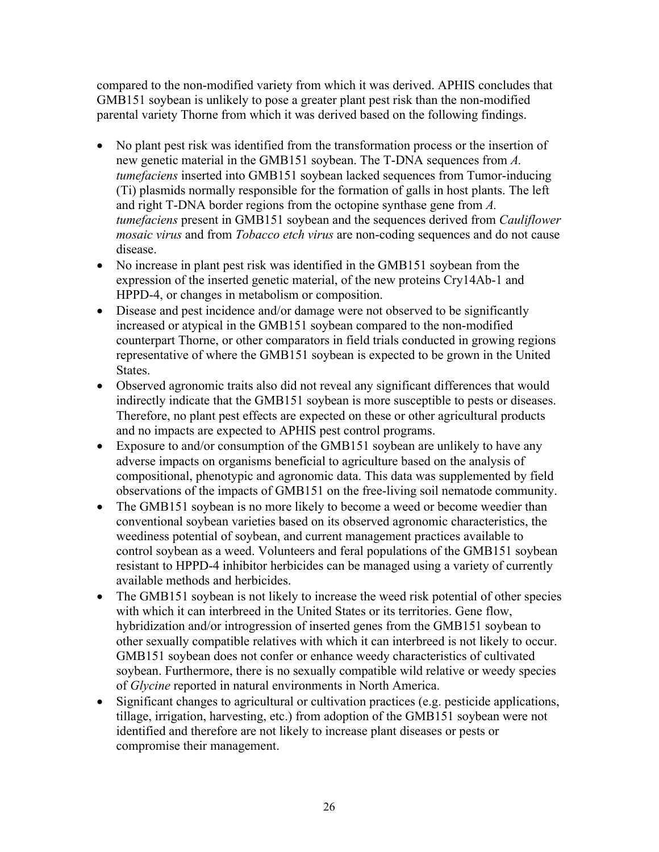compared to the non-modified variety from which it was derived. APHIS concludes that GMB151 soybean is unlikely to pose a greater plant pest risk than the non-modified parental variety Thorne from which it was derived based on the following findings.

- No plant pest risk was identified from the transformation process or the insertion of new genetic material in the GMB151 soybean. The T-DNA sequences from *A. tumefaciens* inserted into GMB151 soybean lacked sequences from Tumor-inducing (Ti) plasmids normally responsible for the formation of galls in host plants. The left and right T-DNA border regions from the octopine synthase gene from *A. tumefaciens* present in GMB151 soybean and the sequences derived from *Cauliflower mosaic virus* and from *Tobacco etch virus* are non-coding sequences and do not cause disease.
- No increase in plant pest risk was identified in the GMB151 soybean from the expression of the inserted genetic material, of the new proteins Cry14Ab-1 and HPPD-4, or changes in metabolism or composition.
- Disease and pest incidence and/or damage were not observed to be significantly increased or atypical in the GMB151 soybean compared to the non-modified counterpart Thorne, or other comparators in field trials conducted in growing regions representative of where the GMB151 soybean is expected to be grown in the United States.
- Observed agronomic traits also did not reveal any significant differences that would indirectly indicate that the GMB151 soybean is more susceptible to pests or diseases. Therefore, no plant pest effects are expected on these or other agricultural products and no impacts are expected to APHIS pest control programs.
- Exposure to and/or consumption of the GMB151 soybean are unlikely to have any adverse impacts on organisms beneficial to agriculture based on the analysis of compositional, phenotypic and agronomic data. This data was supplemented by field observations of the impacts of GMB151 on the free-living soil nematode community.
- The GMB151 soybean is no more likely to become a weed or become weedier than conventional soybean varieties based on its observed agronomic characteristics, the weediness potential of soybean, and current management practices available to control soybean as a weed. Volunteers and feral populations of the GMB151 soybean resistant to HPPD-4 inhibitor herbicides can be managed using a variety of currently available methods and herbicides.
- The GMB151 soybean is not likely to increase the weed risk potential of other species with which it can interbreed in the United States or its territories. Gene flow, hybridization and/or introgression of inserted genes from the GMB151 soybean to other sexually compatible relatives with which it can interbreed is not likely to occur. GMB151 soybean does not confer or enhance weedy characteristics of cultivated soybean. Furthermore, there is no sexually compatible wild relative or weedy species of *Glycine* reported in natural environments in North America.
- Significant changes to agricultural or cultivation practices (e.g. pesticide applications, tillage, irrigation, harvesting, etc.) from adoption of the GMB151 soybean were not identified and therefore are not likely to increase plant diseases or pests or compromise their management.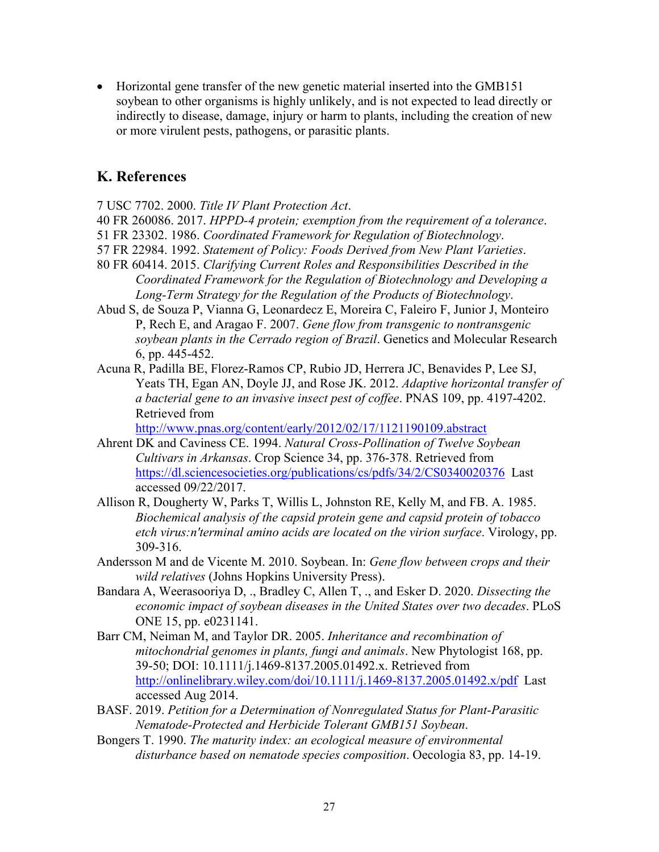• Horizontal gene transfer of the new genetic material inserted into the GMB151 soybean to other organisms is highly unlikely, and is not expected to lead directly or indirectly to disease, damage, injury or harm to plants, including the creation of new or more virulent pests, pathogens, or parasitic plants.

# <span id="page-27-0"></span>**K. References**

<span id="page-27-1"></span>7 USC 7702. 2000. *Title IV Plant Protection Act*.

- <span id="page-27-7"></span>40 FR 260086. 2017. *HPPD-4 protein; exemption from the requirement of a tolerance*.
- <span id="page-27-4"></span>51 FR 23302. 1986. *Coordinated Framework for Regulation of Biotechnology*.
- <span id="page-27-5"></span>57 FR 22984. 1992. *Statement of Policy: Foods Derived from New Plant Varieties*.
- <span id="page-27-6"></span>80 FR 60414. 2015. *Clarifying Current Roles and Responsibilities Described in the Coordinated Framework for the Regulation of Biotechnology and Developing a Long-Term Strategy for the Regulation of the Products of Biotechnology*.
- <span id="page-27-12"></span>Abud S, de Souza P, Vianna G, Leonardecz E, Moreira C, Faleiro F, Junior J, Monteiro P, Rech E, and Aragao F. 2007. *Gene flow from transgenic to nontransgenic soybean plants in the Cerrado region of Brazil*. Genetics and Molecular Research 6, pp. 445-452.
- <span id="page-27-13"></span>Acuna R, Padilla BE, Florez-Ramos CP, Rubio JD, Herrera JC, Benavides P, Lee SJ, Yeats TH, Egan AN, Doyle JJ, and Rose JK. 2012. *Adaptive horizontal transfer of a bacterial gene to an invasive insect pest of coffee*. PNAS 109, pp. 4197-4202. Retrieved from

<http://www.pnas.org/content/early/2012/02/17/1121190109.abstract>

- <span id="page-27-10"></span>Ahrent DK and Caviness CE. 1994. *Natural Cross-Pollination of Twelve Soybean Cultivars in Arkansas*. Crop Science 34, pp. 376-378. Retrieved from <https://dl.sciencesocieties.org/publications/cs/pdfs/34/2/CS0340020376>Last accessed 09/22/2017.
- <span id="page-27-3"></span>Allison R, Dougherty W, Parks T, Willis L, Johnston RE, Kelly M, and FB. A. 1985. *Biochemical analysis of the capsid protein gene and capsid protein of tobacco etch virus:n'terminal amino acids are located on the virion surface*. Virology, pp. 309-316.
- <span id="page-27-11"></span>Andersson M and de Vicente M. 2010. Soybean. In: *Gene flow between crops and their wild relatives* (Johns Hopkins University Press).
- <span id="page-27-8"></span>Bandara A, Weerasooriya D, ., Bradley C, Allen T, ., and Esker D. 2020. *Dissecting the economic impact of soybean diseases in the United States over two decades*. PLoS ONE 15, pp. e0231141.
- <span id="page-27-14"></span>Barr CM, Neiman M, and Taylor DR. 2005. *Inheritance and recombination of mitochondrial genomes in plants, fungi and animals*. New Phytologist 168, pp. 39-50; DOI: 10.1111/j.1469-8137.2005.01492.x. Retrieved from <http://onlinelibrary.wiley.com/doi/10.1111/j.1469-8137.2005.01492.x/pdf>Last accessed Aug 2014.
- <span id="page-27-2"></span>BASF. 2019. *Petition for a Determination of Nonregulated Status for Plant-Parasitic Nematode-Protected and Herbicide Tolerant GMB151 Soybean*.
- <span id="page-27-9"></span>Bongers T. 1990. *The maturity index: an ecological measure of environmental disturbance based on nematode species composition*. Oecologia 83, pp. 14-19.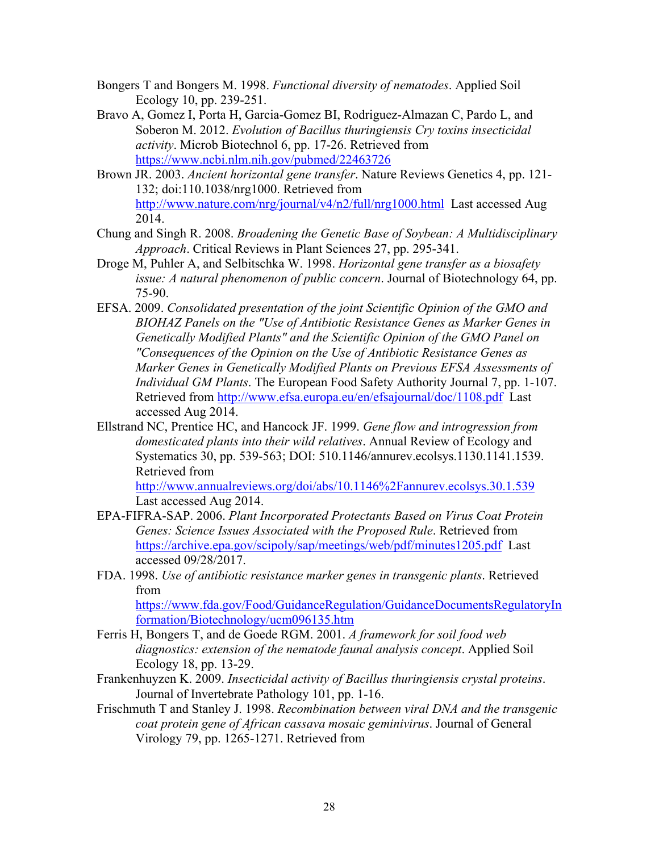- <span id="page-28-3"></span>Bongers T and Bongers M. 1998. *Functional diversity of nematodes*. Applied Soil Ecology 10, pp. 239-251.
- <span id="page-28-1"></span>Bravo A, Gomez I, Porta H, Garcia-Gomez BI, Rodriguez-Almazan C, Pardo L, and Soberon M. 2012. *Evolution of Bacillus thuringiensis Cry toxins insecticidal activity*. Microb Biotechnol 6, pp. 17-26. Retrieved from <https://www.ncbi.nlm.nih.gov/pubmed/22463726>
- <span id="page-28-7"></span>Brown JR. 2003. *Ancient horizontal gene transfer*. Nature Reviews Genetics 4, pp. 121- 132; doi:110.1038/nrg1000. Retrieved from <http://www.nature.com/nrg/journal/v4/n2/full/nrg1000.html>Last accessed Aug 2014.
- <span id="page-28-0"></span>Chung and Singh R. 2008. *Broadening the Genetic Base of Soybean: A Multidisciplinary Approach*. Critical Reviews in Plant Sciences 27, pp. 295-341.
- <span id="page-28-6"></span>Droge M, Puhler A, and Selbitschka W. 1998. *Horizontal gene transfer as a biosafety issue: A natural phenomenon of public concern*. Journal of Biotechnology 64, pp. 75-90.
- <span id="page-28-9"></span>EFSA. 2009. *Consolidated presentation of the joint Scientific Opinion of the GMO and BIOHAZ Panels on the "Use of Antibiotic Resistance Genes as Marker Genes in Genetically Modified Plants" and the Scientific Opinion of the GMO Panel on "Consequences of the Opinion on the Use of Antibiotic Resistance Genes as Marker Genes in Genetically Modified Plants on Previous EFSA Assessments of Individual GM Plants*. The European Food Safety Authority Journal 7, pp. 1-107. Retrieved from<http://www.efsa.europa.eu/en/efsajournal/doc/1108.pdf>Last accessed Aug 2014.
- <span id="page-28-5"></span>Ellstrand NC, Prentice HC, and Hancock JF. 1999. *Gene flow and introgression from domesticated plants into their wild relatives*. Annual Review of Ecology and Systematics 30, pp. 539-563; DOI: 510.1146/annurev.ecolsys.1130.1141.1539. Retrieved from

<http://www.annualreviews.org/doi/abs/10.1146%2Fannurev.ecolsys.30.1.539> Last accessed Aug 2014.

- <span id="page-28-10"></span>EPA-FIFRA-SAP. 2006. *Plant Incorporated Protectants Based on Virus Coat Protein Genes: Science Issues Associated with the Proposed Rule*. Retrieved from <https://archive.epa.gov/scipoly/sap/meetings/web/pdf/minutes1205.pdf>Last accessed 09/28/2017.
- <span id="page-28-8"></span>FDA. 1998. *Use of antibiotic resistance marker genes in transgenic plants*. Retrieved from

[https://www.fda.gov/Food/GuidanceRegulation/GuidanceDocumentsRegulatoryIn](https://www.fda.gov/Food/GuidanceRegulation/GuidanceDocumentsRegulatoryInformation/Biotechnology/ucm096135.htm) [formation/Biotechnology/ucm096135.htm](https://www.fda.gov/Food/GuidanceRegulation/GuidanceDocumentsRegulatoryInformation/Biotechnology/ucm096135.htm) 

- <span id="page-28-4"></span>Ferris H, Bongers T, and de Goede RGM. 2001. *A framework for soil food web diagnostics: extension of the nematode faunal analysis concept*. Applied Soil Ecology 18, pp. 13-29.
- <span id="page-28-2"></span>Frankenhuyzen K. 2009. *Insecticidal activity of Bacillus thuringiensis crystal proteins*. Journal of Invertebrate Pathology 101, pp. 1-16.
- <span id="page-28-11"></span>Frischmuth T and Stanley J. 1998. *Recombination between viral DNA and the transgenic coat protein gene of African cassava mosaic geminivirus*. Journal of General Virology 79, pp. 1265-1271. Retrieved from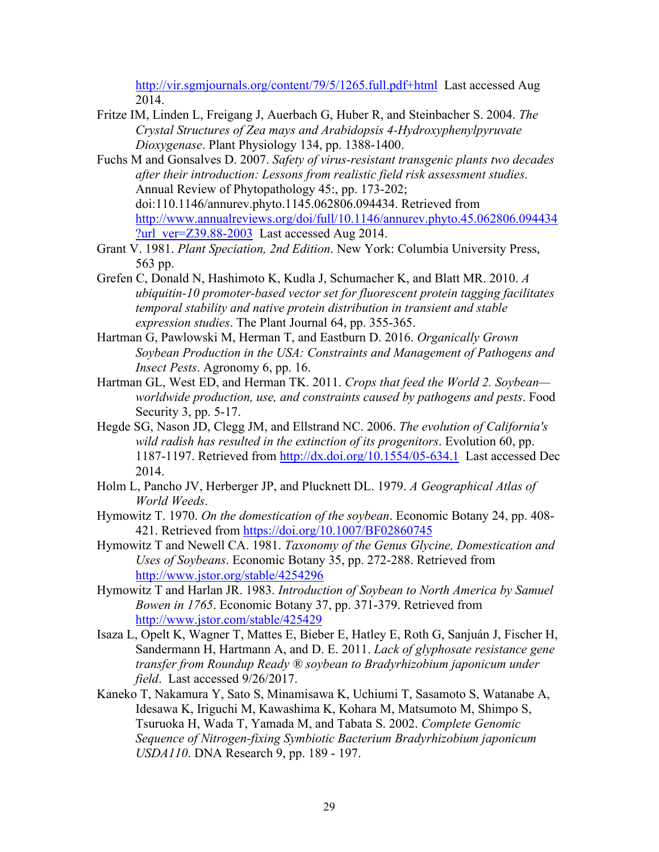<http://vir.sgmjournals.org/content/79/5/1265.full.pdf+html>Last accessed Aug 2014.

- <span id="page-29-5"></span>Fritze IM, Linden L, Freigang J, Auerbach G, Huber R, and Steinbacher S. 2004. *The Crystal Structures of Zea mays and Arabidopsis 4-Hydroxyphenylpyruvate Dioxygenase*. Plant Physiology 134, pp. 1388-1400.
- <span id="page-29-12"></span>Fuchs M and Gonsalves D. 2007. *Safety of virus-resistant transgenic plants two decades after their introduction: Lessons from realistic field risk assessment studies*. Annual Review of Phytopathology 45:, pp. 173-202; doi:110.1146/annurev.phyto.1145.062806.094434. Retrieved from [http://www.annualreviews.org/doi/full/10.1146/annurev.phyto.45.062806.094434](http://www.annualreviews.org/doi/full/10.1146/annurev.phyto.45.062806.094434?url_ver=Z39.88-2003) [?url\\_ver=Z39.88-2003](http://www.annualreviews.org/doi/full/10.1146/annurev.phyto.45.062806.094434?url_ver=Z39.88-2003) Last accessed Aug 2014.
- <span id="page-29-8"></span>Grant V. 1981. *Plant Speciation, 2nd Edition*. New York: Columbia University Press, 563 pp.
- <span id="page-29-4"></span>Grefen C, Donald N, Hashimoto K, Kudla J, Schumacher K, and Blatt MR. 2010. *A ubiquitin-10 promoter-based vector set for fluorescent protein tagging facilitates temporal stability and native protein distribution in transient and stable expression studies*. The Plant Journal 64, pp. 355-365.
- <span id="page-29-6"></span>Hartman G, Pawlowski M, Herman T, and Eastburn D. 2016. *Organically Grown Soybean Production in the USA: Constraints and Management of Pathogens and Insect Pests*. Agronomy 6, pp. 16.
- <span id="page-29-2"></span>Hartman GL, West ED, and Herman TK. 2011. *Crops that feed the World 2. Soybean worldwide production, use, and constraints caused by pathogens and pests*. Food Security 3, pp. 5-17.
- <span id="page-29-9"></span>Hegde SG, Nason JD, Clegg JM, and Ellstrand NC. 2006. *The evolution of California's wild radish has resulted in the extinction of its progenitors*. Evolution 60, pp. 1187-1197. Retrieved from<http://dx.doi.org/10.1554/05-634.1>Last accessed Dec 2014.
- <span id="page-29-7"></span>Holm L, Pancho JV, Herberger JP, and Plucknett DL. 1979. *A Geographical Atlas of World Weeds*.
- <span id="page-29-0"></span>Hymowitz T. 1970. *On the domestication of the soybean*. Economic Botany 24, pp. 408- 421. Retrieved from<https://doi.org/10.1007/BF02860745>
- <span id="page-29-1"></span>Hymowitz T and Newell CA. 1981. *Taxonomy of the Genus Glycine, Domestication and Uses of Soybeans*. Economic Botany 35, pp. 272-288. Retrieved from <http://www.jstor.org/stable/4254296>
- <span id="page-29-3"></span>Hymowitz T and Harlan JR. 1983. *Introduction of Soybean to North America by Samuel Bowen in 1765*. Economic Botany 37, pp. 371-379. Retrieved from <http://www.jstor.com/stable/425429>
- <span id="page-29-11"></span>Isaza L, Opelt K, Wagner T, Mattes E, Bieber E, Hatley E, Roth G, Sanjuán J, Fischer H, Sandermann H, Hartmann A, and D. E. 2011. *Lack of glyphosate resistance gene transfer from Roundup Ready ® soybean to Bradyrhizobium japonicum under field*. Last accessed 9/26/2017.
- <span id="page-29-10"></span>Kaneko T, Nakamura Y, Sato S, Minamisawa K, Uchiumi T, Sasamoto S, Watanabe A, Idesawa K, Iriguchi M, Kawashima K, Kohara M, Matsumoto M, Shimpo S, Tsuruoka H, Wada T, Yamada M, and Tabata S. 2002. *Complete Genomic Sequence of Nitrogen-fixing Symbiotic Bacterium Bradyrhizobium japonicum USDA110*. DNA Research 9, pp. 189 - 197.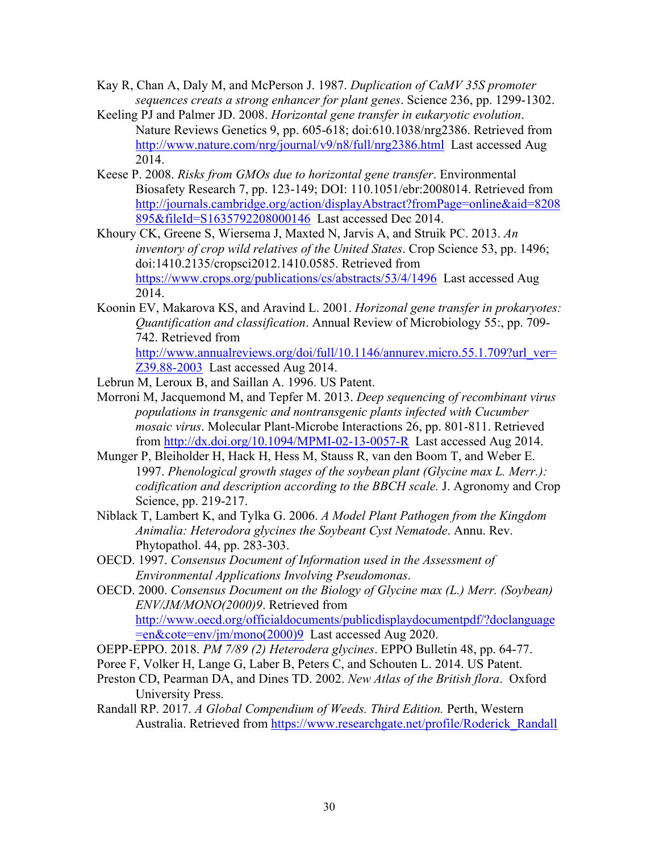- <span id="page-30-0"></span>Kay R, Chan A, Daly M, and McPerson J. 1987. *Duplication of CaMV 35S promoter sequences creats a strong enhancer for plant genes*. Science 236, pp. 1299-1302.
- <span id="page-30-12"></span>Keeling PJ and Palmer JD. 2008. *Horizontal gene transfer in eukaryotic evolution*. Nature Reviews Genetics 9, pp. 605-618; doi:610.1038/nrg2386. Retrieved from <http://www.nature.com/nrg/journal/v9/n8/full/nrg2386.html>Last accessed Aug 2014.
- <span id="page-30-11"></span>Keese P. 2008. *Risks from GMOs due to horizontal gene transfer*. Environmental Biosafety Research 7, pp. 123-149; DOI: 110.1051/ebr:2008014. Retrieved from [http://journals.cambridge.org/action/displayAbstract?fromPage=online&aid=8208](http://journals.cambridge.org/action/displayAbstract?fromPage=online&aid=8208895&fileId=S1635792208000146) [895&fileId=S1635792208000146](http://journals.cambridge.org/action/displayAbstract?fromPage=online&aid=8208895&fileId=S1635792208000146) Last accessed Dec 2014.
- <span id="page-30-10"></span>Khoury CK, Greene S, Wiersema J, Maxted N, Jarvis A, and Struik PC. 2013. *An inventory of crop wild relatives of the United States*. Crop Science 53, pp. 1496; doi:1410.2135/cropsci2012.1410.0585. Retrieved from <https://www.crops.org/publications/cs/abstracts/53/4/1496>Last accessed Aug 2014.
- <span id="page-30-13"></span>Koonin EV, Makarova KS, and Aravind L. 2001. *Horizonal gene transfer in prokaryotes: Quantification and classification*. Annual Review of Microbiology 55:, pp. 709- 742. Retrieved from [http://www.annualreviews.org/doi/full/10.1146/annurev.micro.55.1.709?url\\_ver=](http://www.annualreviews.org/doi/full/10.1146/annurev.micro.55.1.709?url_ver=Z39.88-2003)
- [Z39.88-2003](http://www.annualreviews.org/doi/full/10.1146/annurev.micro.55.1.709?url_ver=Z39.88-2003) Last accessed Aug 2014.
- <span id="page-30-2"></span>Lebrun M, Leroux B, and Saillan A. 1996. US Patent.
- <span id="page-30-14"></span>Morroni M, Jacquemond M, and Tepfer M. 2013. *Deep sequencing of recombinant virus populations in transgenic and nontransgenic plants infected with Cucumber mosaic virus*. Molecular Plant-Microbe Interactions 26, pp. 801-811. Retrieved from<http://dx.doi.org/10.1094/MPMI-02-13-0057-R>Last accessed Aug 2014.
- <span id="page-30-5"></span>Munger P, Bleiholder H, Hack H, Hess M, Stauss R, van den Boom T, and Weber E. 1997. *Phenological growth stages of the soybean plant (Glycine max L. Merr.): codification and description according to the BBCH scale.* J. Agronomy and Crop Science, pp. 219-217.
- <span id="page-30-6"></span>Niblack T, Lambert K, and Tylka G. 2006. *A Model Plant Pathogen from the Kingdom Animalia: Heterodora glycines the Soybeant Cyst Nematode*. Annu. Rev. Phytopathol. 44, pp. 283-303.
- <span id="page-30-4"></span>OECD. 1997. *Consensus Document of Information used in the Assessment of Environmental Applications Involving Pseudomonas*.
- <span id="page-30-1"></span>OECD. 2000. *Consensus Document on the Biology of Glycine max (L.) Merr. (Soybean) ENV/JM/MONO(2000)9*. Retrieved from [http://www.oecd.org/officialdocuments/publicdisplaydocumentpdf/?doclanguage](http://www.oecd.org/officialdocuments/publicdisplaydocumentpdf/?doclanguage=en&cote=env/jm/mono(2000)9) [=en&cote=env/jm/mono\(2000\)9](http://www.oecd.org/officialdocuments/publicdisplaydocumentpdf/?doclanguage=en&cote=env/jm/mono(2000)9) Last accessed Aug 2020.
- <span id="page-30-7"></span>OEPP-EPPO. 2018. *PM 7/89 (2) Heterodera glycines*. EPPO Bulletin 48, pp. 64-77.
- <span id="page-30-3"></span>Poree F, Volker H, Lange G, Laber B, Peters C, and Schouten L. 2014. US Patent.
- <span id="page-30-9"></span>Preston CD, Pearman DA, and Dines TD. 2002. *New Atlas of the British flora*. Oxford University Press.
- <span id="page-30-8"></span>Randall RP. 2017. *A Global Compendium of Weeds. Third Edition.* Perth, Western Australia. Retrieved from [https://www.researchgate.net/profile/Roderick\\_Randall](https://www.researchgate.net/profile/Roderick_Randall)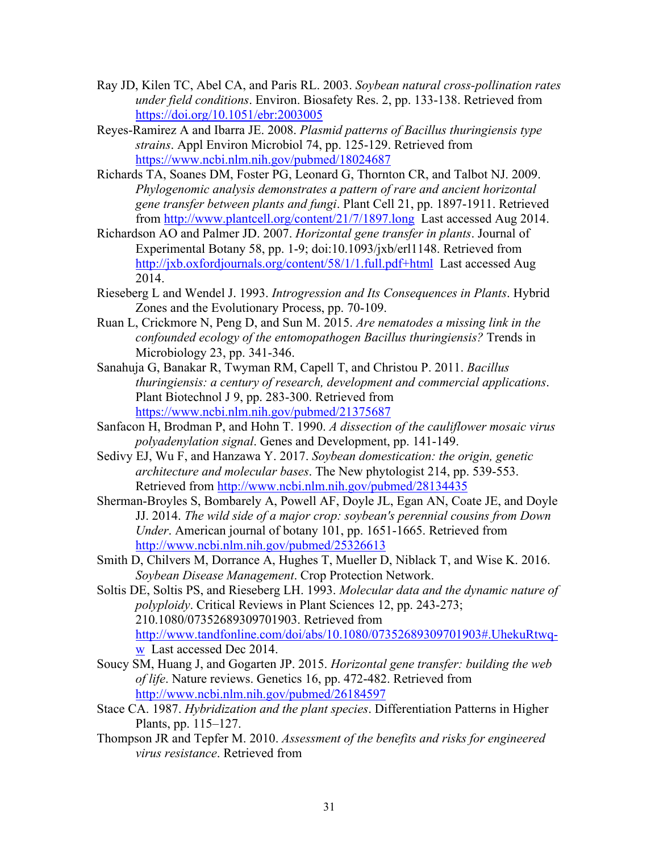- <span id="page-31-10"></span>Ray JD, Kilen TC, Abel CA, and Paris RL. 2003. *Soybean natural cross-pollination rates under field conditions*. Environ. Biosafety Res. 2, pp. 133-138. Retrieved from <https://doi.org/10.1051/ebr:2003005>
- <span id="page-31-4"></span>Reyes-Ramirez A and Ibarra JE. 2008. *Plasmid patterns of Bacillus thuringiensis type strains*. Appl Environ Microbiol 74, pp. 125-129. Retrieved from <https://www.ncbi.nlm.nih.gov/pubmed/18024687>
- <span id="page-31-12"></span>Richards TA, Soanes DM, Foster PG, Leonard G, Thornton CR, and Talbot NJ. 2009. *Phylogenomic analysis demonstrates a pattern of rare and ancient horizontal gene transfer between plants and fungi*. Plant Cell 21, pp. 1897-1911. Retrieved from<http://www.plantcell.org/content/21/7/1897.long>Last accessed Aug 2014.
- <span id="page-31-14"></span>Richardson AO and Palmer JD. 2007. *Horizontal gene transfer in plants*. Journal of Experimental Botany 58, pp. 1-9; doi:10.1093/jxb/erl1148. Retrieved from <http://jxb.oxfordjournals.org/content/58/1/1.full.pdf+html>Last accessed Aug 2014.
- <span id="page-31-7"></span>Rieseberg L and Wendel J. 1993. *Introgression and Its Consequences in Plants*. Hybrid Zones and the Evolutionary Process, pp. 70-109.
- <span id="page-31-6"></span>Ruan L, Crickmore N, Peng D, and Sun M. 2015. *Are nematodes a missing link in the confounded ecology of the entomopathogen Bacillus thuringiensis?* Trends in Microbiology 23, pp. 341-346.
- <span id="page-31-3"></span>Sanahuja G, Banakar R, Twyman RM, Capell T, and Christou P. 2011. *Bacillus thuringiensis: a century of research, development and commercial applications*. Plant Biotechnol J 9, pp. 283-300. Retrieved from <https://www.ncbi.nlm.nih.gov/pubmed/21375687>
- <span id="page-31-0"></span>Sanfacon H, Brodman P, and Hohn T. 1990. *A dissection of the cauliflower mosaic virus polyadenylation signal*. Genes and Development, pp. 141-149.
- <span id="page-31-2"></span>Sedivy EJ, Wu F, and Hanzawa Y. 2017. *Soybean domestication: the origin, genetic architecture and molecular bases*. The New phytologist 214, pp. 539-553. Retrieved from<http://www.ncbi.nlm.nih.gov/pubmed/28134435>
- <span id="page-31-1"></span>Sherman-Broyles S, Bombarely A, Powell AF, Doyle JL, Egan AN, Coate JE, and Doyle JJ. 2014. *The wild side of a major crop: soybean's perennial cousins from Down Under*. American journal of botany 101, pp. 1651-1665. Retrieved from http://www.ncbi.nlm.nih.gov/pubmed/25326613
- <span id="page-31-5"></span>Smith D, Chilvers M, Dorrance A, Hughes T, Mueller D, Niblack T, and Wise K. 2016. *Soybean Disease Management*. Crop Protection Network.
- <span id="page-31-8"></span>Soltis DE, Soltis PS, and Rieseberg LH. 1993. *Molecular data and the dynamic nature of polyploidy*. Critical Reviews in Plant Sciences 12, pp. 243-273; 210.1080/07352689309701903. Retrieved from [http://www.tandfonline.com/doi/abs/10.1080/07352689309701903#.UhekuRtwq](http://www.tandfonline.com/doi/abs/10.1080/07352689309701903#.UhekuRtwq-w)[w](http://www.tandfonline.com/doi/abs/10.1080/07352689309701903#.UhekuRtwq-w) Last accessed Dec 2014.
- <span id="page-31-11"></span>Soucy SM, Huang J, and Gogarten JP. 2015. *Horizontal gene transfer: building the web of life*. Nature reviews. Genetics 16, pp. 472-482. Retrieved from <http://www.ncbi.nlm.nih.gov/pubmed/26184597>
- <span id="page-31-9"></span>Stace CA. 1987. *Hybridization and the plant species*. Differentiation Patterns in Higher Plants, pp. 115–127.
- <span id="page-31-13"></span>Thompson JR and Tepfer M. 2010. *Assessment of the benefits and risks for engineered virus resistance*. Retrieved from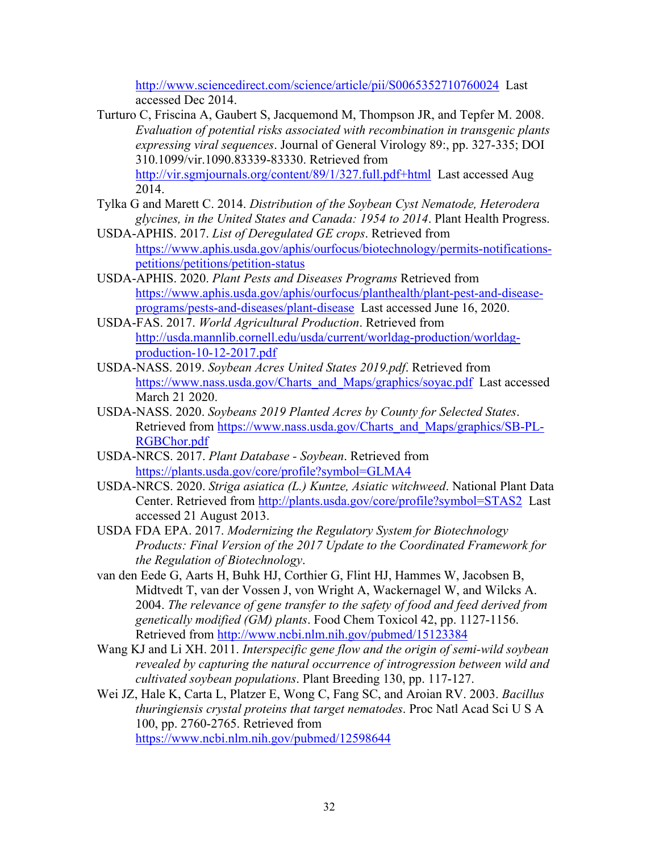<http://www.sciencedirect.com/science/article/pii/S0065352710760024>Last accessed Dec 2014.

- <span id="page-32-11"></span>Turturo C, Friscina A, Gaubert S, Jacquemond M, Thompson JR, and Tepfer M. 2008. *Evaluation of potential risks associated with recombination in transgenic plants expressing viral sequences*. Journal of General Virology 89:, pp. 327-335; DOI 310.1099/vir.1090.83339-83330. Retrieved from <http://vir.sgmjournals.org/content/89/1/327.full.pdf+html>Last accessed Aug 2014.
- <span id="page-32-4"></span>Tylka G and Marett C. 2014. *Distribution of the Soybean Cyst Nematode, Heterodera glycines, in the United States and Canada: 1954 to 2014*. Plant Health Progress.
- <span id="page-32-5"></span>USDA-APHIS. 2017. *List of Deregulated GE crops*. Retrieved from [https://www.aphis.usda.gov/aphis/ourfocus/biotechnology/permits-notifications](https://www.aphis.usda.gov/aphis/ourfocus/biotechnology/permits-notifications-petitions/petitions/petition-status)[petitions/petitions/petition-status](https://www.aphis.usda.gov/aphis/ourfocus/biotechnology/permits-notifications-petitions/petitions/petition-status)
- <span id="page-32-6"></span>USDA-APHIS. 2020. *Plant Pests and Diseases Programs* Retrieved from [https://www.aphis.usda.gov/aphis/ourfocus/planthealth/plant-pest-and-disease](https://www.aphis.usda.gov/aphis/ourfocus/planthealth/plant-pest-and-disease-programs/pests-and-diseases/plant-disease)[programs/pests-and-diseases/plant-disease](https://www.aphis.usda.gov/aphis/ourfocus/planthealth/plant-pest-and-disease-programs/pests-and-diseases/plant-disease) Last accessed June 16, 2020.
- <span id="page-32-1"></span>USDA-FAS. 2017. *World Agricultural Production*. Retrieved from [http://usda.mannlib.cornell.edu/usda/current/worldag-production/worldag](http://usda.mannlib.cornell.edu/usda/current/worldag-production/worldag-production-10-12-2017.pdf)[production-10-12-2017.pdf](http://usda.mannlib.cornell.edu/usda/current/worldag-production/worldag-production-10-12-2017.pdf)
- <span id="page-32-2"></span>USDA-NASS. 2019. *Soybean Acres United States 2019.pdf*. Retrieved from [https://www.nass.usda.gov/Charts\\_and\\_Maps/graphics/soyac.pdf](https://www.nass.usda.gov/Charts_and_Maps/graphics/soyac.pdf) Last accessed March 21 2020.
- <span id="page-32-3"></span>USDA-NASS. 2020. *Soybeans 2019 Planted Acres by County for Selected States*. Retrieved from [https://www.nass.usda.gov/Charts\\_and\\_Maps/graphics/SB-PL-](https://www.nass.usda.gov/Charts_and_Maps/graphics/SB-PL-RGBChor.pdf)[RGBChor.pdf](https://www.nass.usda.gov/Charts_and_Maps/graphics/SB-PL-RGBChor.pdf)
- <span id="page-32-8"></span>USDA-NRCS. 2017. *Plant Database - Soybean*. Retrieved from <https://plants.usda.gov/core/profile?symbol=GLMA4>
- <span id="page-32-12"></span>USDA-NRCS. 2020. *Striga asiatica (L.) Kuntze, Asiatic witchweed*. National Plant Data Center. Retrieved from<http://plants.usda.gov/core/profile?symbol=STAS2>Last accessed 21 August 2013.
- <span id="page-32-0"></span>USDA FDA EPA. 2017. *Modernizing the Regulatory System for Biotechnology Products: Final Version of the 2017 Update to the Coordinated Framework for the Regulation of Biotechnology*.
- <span id="page-32-10"></span>van den Eede G, Aarts H, Buhk HJ, Corthier G, Flint HJ, Hammes W, Jacobsen B, Midtvedt T, van der Vossen J, von Wright A, Wackernagel W, and Wilcks A. 2004. *The relevance of gene transfer to the safety of food and feed derived from genetically modified (GM) plants*. Food Chem Toxicol 42, pp. 1127-1156. Retrieved from<http://www.ncbi.nlm.nih.gov/pubmed/15123384>
- <span id="page-32-9"></span>Wang KJ and Li XH. 2011. *Interspecific gene flow and the origin of semi-wild soybean revealed by capturing the natural occurrence of introgression between wild and cultivated soybean populations*. Plant Breeding 130, pp. 117-127.
- <span id="page-32-7"></span>Wei JZ, Hale K, Carta L, Platzer E, Wong C, Fang SC, and Aroian RV. 2003. *Bacillus thuringiensis crystal proteins that target nematodes*. Proc Natl Acad Sci U S A 100, pp. 2760-2765. Retrieved from <https://www.ncbi.nlm.nih.gov/pubmed/12598644>